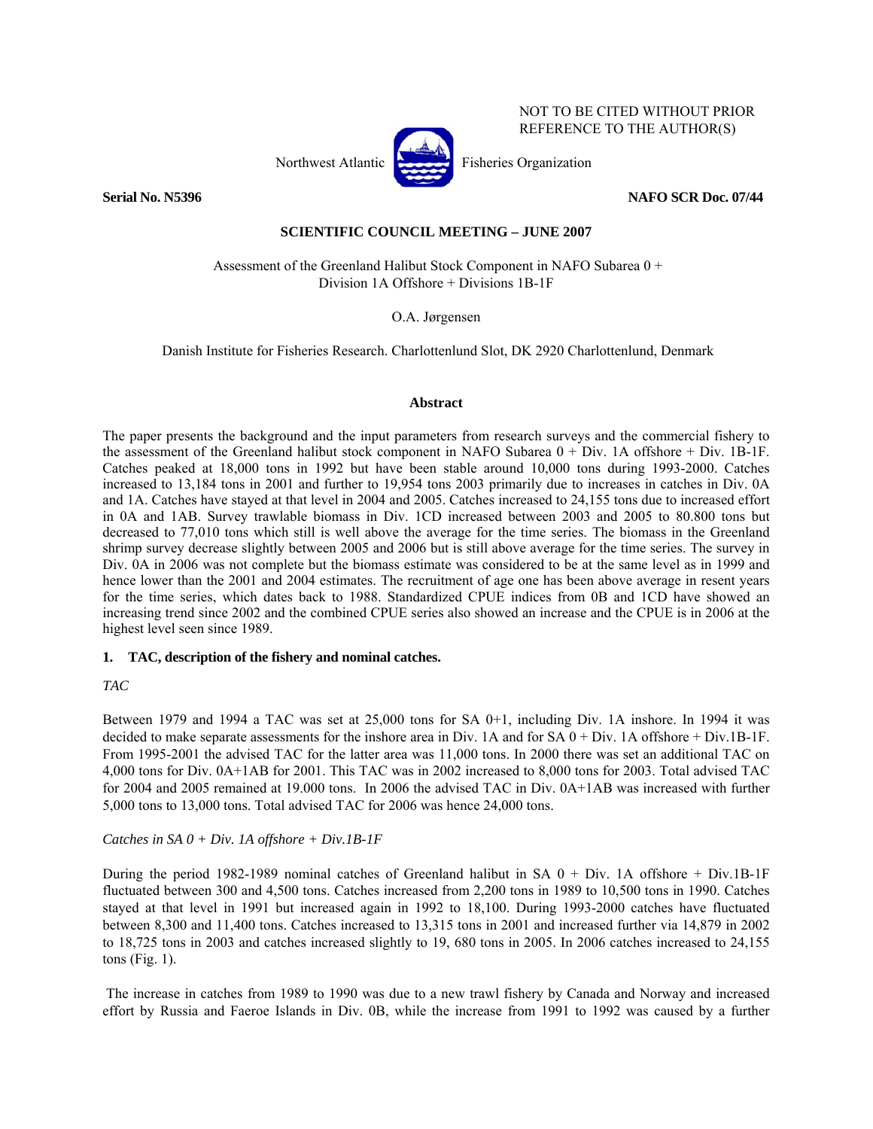

NOT TO BE CITED WITHOUT PRIOR REFERENCE TO THE AUTHOR(S)

# **SCIENTIFIC COUNCIL MEETING – JUNE 2007**

 Assessment of the Greenland Halibut Stock Component in NAFO Subarea 0 + Division 1A Offshore + Divisions 1B-1F

O.A. Jørgensen

Danish Institute for Fisheries Research. Charlottenlund Slot, DK 2920 Charlottenlund, Denmark

# **Abstract**

The paper presents the background and the input parameters from research surveys and the commercial fishery to the assessment of the Greenland halibut stock component in NAFO Subarea 0 + Div. 1A offshore + Div. 1B-1F. Catches peaked at 18,000 tons in 1992 but have been stable around 10,000 tons during 1993-2000. Catches increased to 13,184 tons in 2001 and further to 19,954 tons 2003 primarily due to increases in catches in Div. 0A and 1A. Catches have stayed at that level in 2004 and 2005. Catches increased to 24,155 tons due to increased effort in 0A and 1AB. Survey trawlable biomass in Div. 1CD increased between 2003 and 2005 to 80.800 tons but decreased to 77,010 tons which still is well above the average for the time series. The biomass in the Greenland shrimp survey decrease slightly between 2005 and 2006 but is still above average for the time series. The survey in Div. 0A in 2006 was not complete but the biomass estimate was considered to be at the same level as in 1999 and hence lower than the 2001 and 2004 estimates. The recruitment of age one has been above average in resent years for the time series, which dates back to 1988. Standardized CPUE indices from 0B and 1CD have showed an increasing trend since 2002 and the combined CPUE series also showed an increase and the CPUE is in 2006 at the highest level seen since 1989.

# **1. TAC, description of the fishery and nominal catches.**

# *TAC*

Between 1979 and 1994 a TAC was set at 25,000 tons for SA 0+1, including Div. 1A inshore. In 1994 it was decided to make separate assessments for the inshore area in Div. 1A and for SA 0 + Div. 1A offshore + Div.1B-1F. From 1995-2001 the advised TAC for the latter area was 11,000 tons. In 2000 there was set an additional TAC on 4,000 tons for Div. 0A+1AB for 2001. This TAC was in 2002 increased to 8,000 tons for 2003. Total advised TAC for 2004 and 2005 remained at 19.000 tons. In 2006 the advised TAC in Div. 0A+1AB was increased with further 5,000 tons to 13,000 tons. Total advised TAC for 2006 was hence 24,000 tons.

# *Catches in SA 0 + Div. 1A offshore + Div.1B-1F*

During the period 1982-1989 nominal catches of Greenland halibut in SA 0 + Div. 1A offshore + Div.1B-1F fluctuated between 300 and 4,500 tons. Catches increased from 2,200 tons in 1989 to 10,500 tons in 1990. Catches stayed at that level in 1991 but increased again in 1992 to 18,100. During 1993-2000 catches have fluctuated between 8,300 and 11,400 tons. Catches increased to 13,315 tons in 2001 and increased further via 14,879 in 2002 to 18,725 tons in 2003 and catches increased slightly to 19, 680 tons in 2005. In 2006 catches increased to 24,155 tons (Fig. 1).

 The increase in catches from 1989 to 1990 was due to a new trawl fishery by Canada and Norway and increased effort by Russia and Faeroe Islands in Div. 0B, while the increase from 1991 to 1992 was caused by a further

**Serial No. N5396 NAFO SCR Doc. 07/44**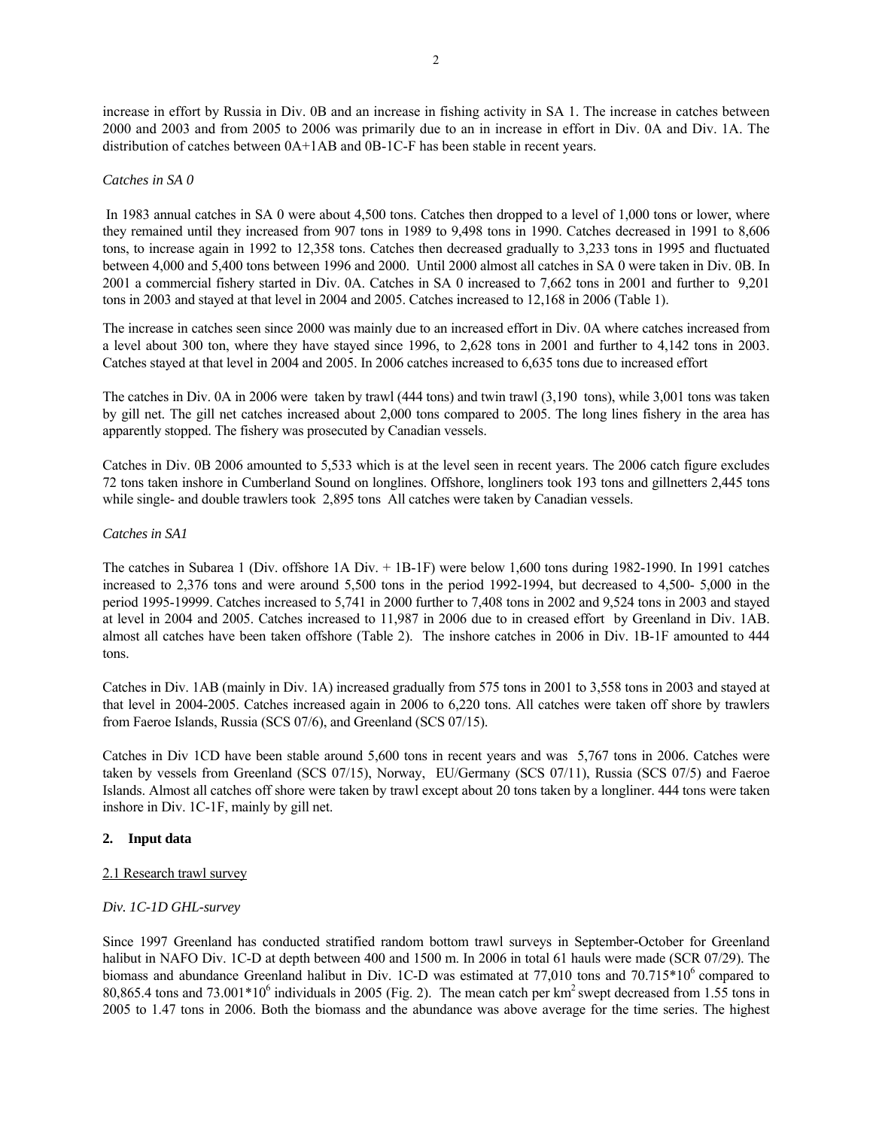increase in effort by Russia in Div. 0B and an increase in fishing activity in SA 1. The increase in catches between 2000 and 2003 and from 2005 to 2006 was primarily due to an in increase in effort in Div. 0A and Div. 1A. The distribution of catches between 0A+1AB and 0B-1C-F has been stable in recent years.

# *Catches in SA 0*

 In 1983 annual catches in SA 0 were about 4,500 tons. Catches then dropped to a level of 1,000 tons or lower, where they remained until they increased from 907 tons in 1989 to 9,498 tons in 1990. Catches decreased in 1991 to 8,606 tons, to increase again in 1992 to 12,358 tons. Catches then decreased gradually to 3,233 tons in 1995 and fluctuated between 4,000 and 5,400 tons between 1996 and 2000. Until 2000 almost all catches in SA 0 were taken in Div. 0B. In 2001 a commercial fishery started in Div. 0A. Catches in SA 0 increased to 7,662 tons in 2001 and further to 9,201 tons in 2003 and stayed at that level in 2004 and 2005. Catches increased to 12,168 in 2006 (Table 1).

The increase in catches seen since 2000 was mainly due to an increased effort in Div. 0A where catches increased from a level about 300 ton, where they have stayed since 1996, to 2,628 tons in 2001 and further to 4,142 tons in 2003. Catches stayed at that level in 2004 and 2005. In 2006 catches increased to 6,635 tons due to increased effort

The catches in Div. 0A in 2006 were taken by trawl (444 tons) and twin trawl (3,190 tons), while 3,001 tons was taken by gill net. The gill net catches increased about 2,000 tons compared to 2005. The long lines fishery in the area has apparently stopped. The fishery was prosecuted by Canadian vessels.

Catches in Div. 0B 2006 amounted to 5,533 which is at the level seen in recent years. The 2006 catch figure excludes 72 tons taken inshore in Cumberland Sound on longlines. Offshore, longliners took 193 tons and gillnetters 2,445 tons while single- and double trawlers took 2,895 tons All catches were taken by Canadian vessels.

# *Catches in SA1*

The catches in Subarea 1 (Div. offshore 1A Div. + 1B-1F) were below 1,600 tons during 1982-1990. In 1991 catches increased to 2,376 tons and were around 5,500 tons in the period 1992-1994, but decreased to 4,500- 5,000 in the period 1995-19999. Catches increased to 5,741 in 2000 further to 7,408 tons in 2002 and 9,524 tons in 2003 and stayed at level in 2004 and 2005. Catches increased to 11,987 in 2006 due to in creased effort by Greenland in Div. 1AB. almost all catches have been taken offshore (Table 2). The inshore catches in 2006 in Div. 1B-1F amounted to 444 tons.

Catches in Div. 1AB (mainly in Div. 1A) increased gradually from 575 tons in 2001 to 3,558 tons in 2003 and stayed at that level in 2004-2005. Catches increased again in 2006 to 6,220 tons. All catches were taken off shore by trawlers from Faeroe Islands, Russia (SCS 07/6), and Greenland (SCS 07/15).

Catches in Div 1CD have been stable around 5,600 tons in recent years and was 5,767 tons in 2006. Catches were taken by vessels from Greenland (SCS 07/15), Norway, EU/Germany (SCS 07/11), Russia (SCS 07/5) and Faeroe Islands. Almost all catches off shore were taken by trawl except about 20 tons taken by a longliner. 444 tons were taken inshore in Div. 1C-1F, mainly by gill net.

# **2. Input data**

# 2.1 Research trawl survey

# *Div. 1C-1D GHL-survey*

Since 1997 Greenland has conducted stratified random bottom trawl surveys in September-October for Greenland halibut in NAFO Div. 1C-D at depth between 400 and 1500 m. In 2006 in total 61 hauls were made (SCR 07/29). The biomass and abundance Greenland halibut in Div. 1C-D was estimated at 77,010 tons and 70.715\*10<sup>6</sup> compared to  $80,865.4$  tons and  $73.001*10^6$  individuals in 2005 (Fig. 2). The mean catch per km<sup>2</sup> swept decreased from 1.55 tons in 2005 to 1.47 tons in 2006. Both the biomass and the abundance was above average for the time series. The highest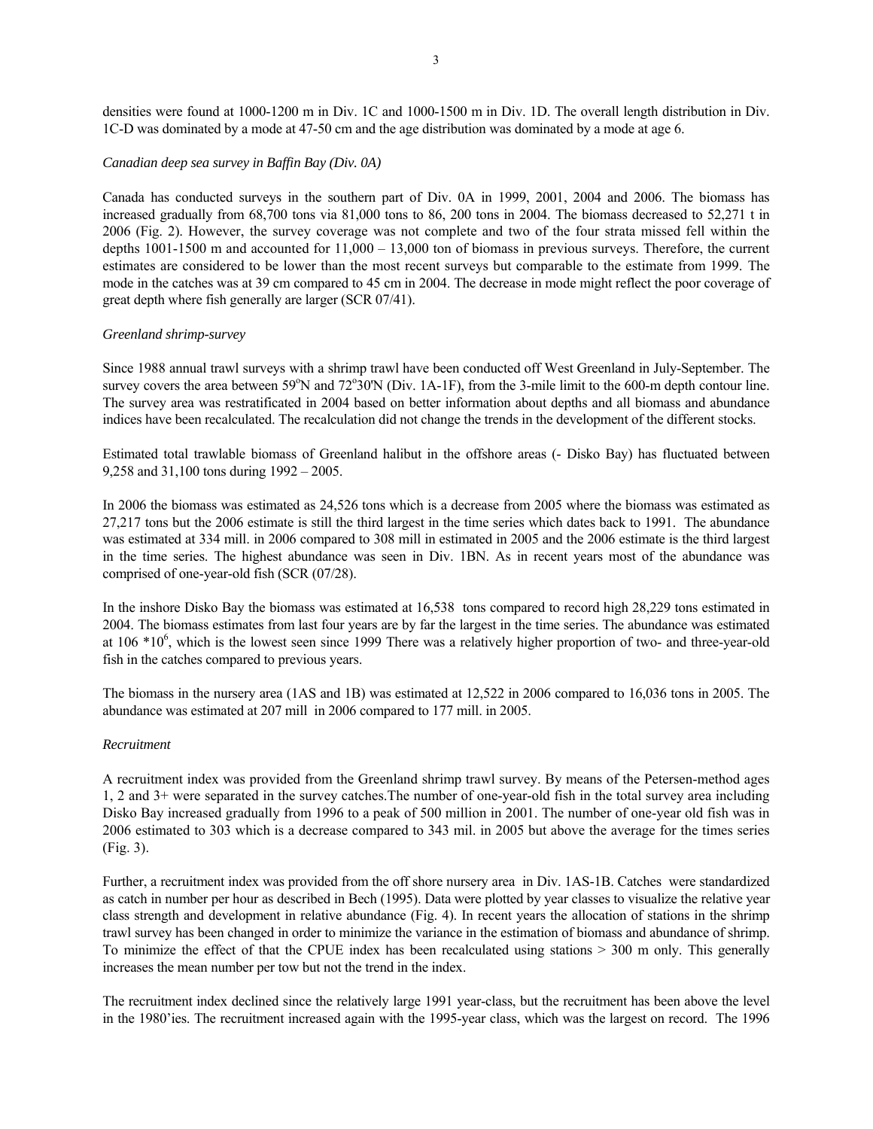densities were found at 1000-1200 m in Div. 1C and 1000-1500 m in Div. 1D. The overall length distribution in Div. 1C-D was dominated by a mode at 47-50 cm and the age distribution was dominated by a mode at age 6.

# *Canadian deep sea survey in Baffin Bay (Div. 0A)*

Canada has conducted surveys in the southern part of Div. 0A in 1999, 2001, 2004 and 2006. The biomass has increased gradually from 68,700 tons via 81,000 tons to 86, 200 tons in 2004. The biomass decreased to 52,271 t in 2006 (Fig. 2). However, the survey coverage was not complete and two of the four strata missed fell within the depths 1001-1500 m and accounted for 11,000 – 13,000 ton of biomass in previous surveys. Therefore, the current estimates are considered to be lower than the most recent surveys but comparable to the estimate from 1999. The mode in the catches was at 39 cm compared to 45 cm in 2004. The decrease in mode might reflect the poor coverage of great depth where fish generally are larger (SCR 07/41).

#### *Greenland shrimp-survey*

Since 1988 annual trawl surveys with a shrimp trawl have been conducted off West Greenland in July-September. The survey covers the area between 59°N and 72°30'N (Div. 1A-1F), from the 3-mile limit to the 600-m depth contour line. The survey area was restratificated in 2004 based on better information about depths and all biomass and abundance indices have been recalculated. The recalculation did not change the trends in the development of the different stocks.

Estimated total trawlable biomass of Greenland halibut in the offshore areas (- Disko Bay) has fluctuated between 9,258 and 31,100 tons during 1992 – 2005.

In 2006 the biomass was estimated as 24,526 tons which is a decrease from 2005 where the biomass was estimated as 27,217 tons but the 2006 estimate is still the third largest in the time series which dates back to 1991. The abundance was estimated at 334 mill. in 2006 compared to 308 mill in estimated in 2005 and the 2006 estimate is the third largest in the time series. The highest abundance was seen in Div. 1BN. As in recent years most of the abundance was comprised of one-year-old fish (SCR (07/28).

In the inshore Disko Bay the biomass was estimated at 16,538 tons compared to record high 28,229 tons estimated in 2004. The biomass estimates from last four years are by far the largest in the time series. The abundance was estimated at  $106 * 10^6$ , which is the lowest seen since 1999 There was a relatively higher proportion of two- and three-year-old fish in the catches compared to previous years.

The biomass in the nursery area (1AS and 1B) was estimated at 12,522 in 2006 compared to 16,036 tons in 2005. The abundance was estimated at 207 mill in 2006 compared to 177 mill. in 2005.

#### *Recruitment*

A recruitment index was provided from the Greenland shrimp trawl survey. By means of the Petersen-method ages 1, 2 and 3+ were separated in the survey catches.The number of one-year-old fish in the total survey area including Disko Bay increased gradually from 1996 to a peak of 500 million in 2001. The number of one-year old fish was in 2006 estimated to 303 which is a decrease compared to 343 mil. in 2005 but above the average for the times series (Fig. 3).

Further, a recruitment index was provided from the off shore nursery area in Div. 1AS-1B. Catches were standardized as catch in number per hour as described in Bech (1995). Data were plotted by year classes to visualize the relative year class strength and development in relative abundance (Fig. 4). In recent years the allocation of stations in the shrimp trawl survey has been changed in order to minimize the variance in the estimation of biomass and abundance of shrimp. To minimize the effect of that the CPUE index has been recalculated using stations > 300 m only. This generally increases the mean number per tow but not the trend in the index.

The recruitment index declined since the relatively large 1991 year-class, but the recruitment has been above the level in the 1980'ies. The recruitment increased again with the 1995-year class, which was the largest on record. The 1996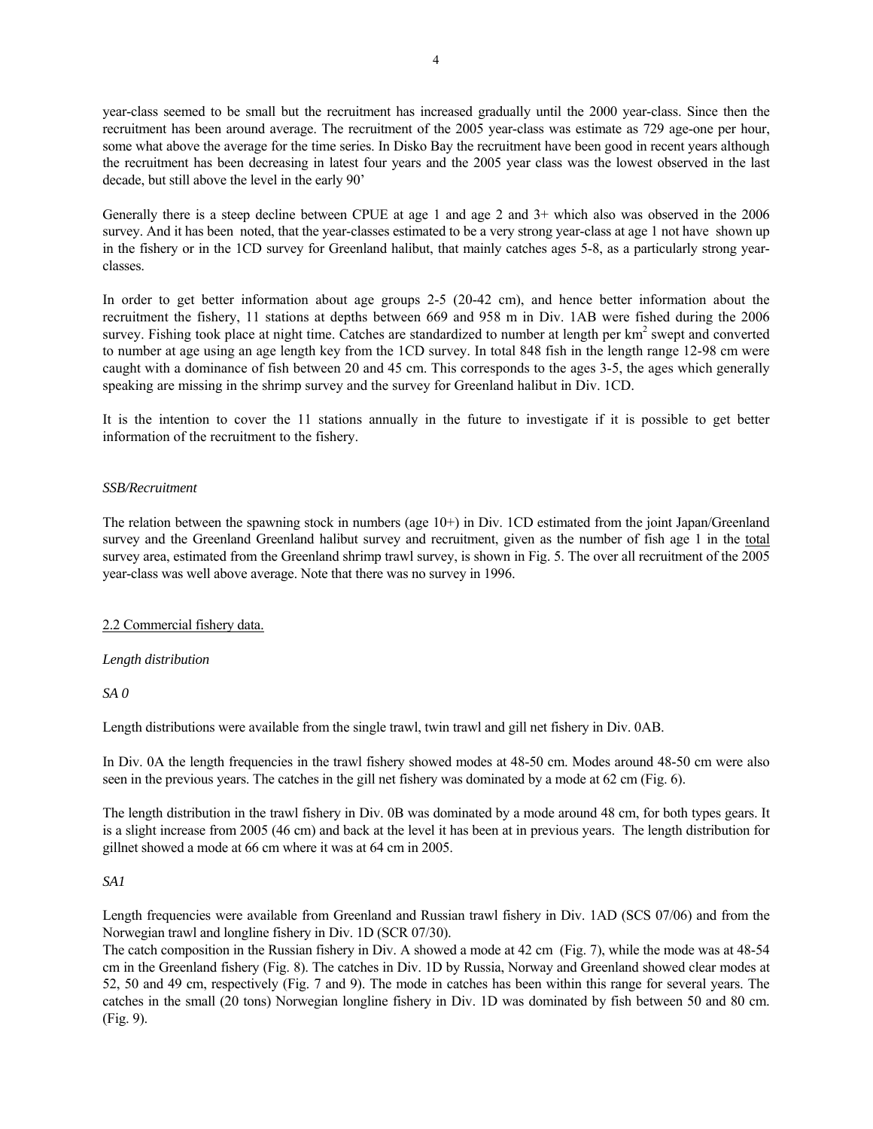year-class seemed to be small but the recruitment has increased gradually until the 2000 year-class. Since then the recruitment has been around average. The recruitment of the 2005 year-class was estimate as 729 age-one per hour, some what above the average for the time series. In Disko Bay the recruitment have been good in recent years although the recruitment has been decreasing in latest four years and the 2005 year class was the lowest observed in the last decade, but still above the level in the early 90'

Generally there is a steep decline between CPUE at age 1 and age 2 and 3+ which also was observed in the 2006 survey. And it has been noted, that the year-classes estimated to be a very strong year-class at age 1 not have shown up in the fishery or in the 1CD survey for Greenland halibut, that mainly catches ages 5-8, as a particularly strong yearclasses.

In order to get better information about age groups 2-5 (20-42 cm), and hence better information about the recruitment the fishery, 11 stations at depths between 669 and 958 m in Div. 1AB were fished during the 2006 survey. Fishing took place at night time. Catches are standardized to number at length per  $km<sup>2</sup>$  swept and converted to number at age using an age length key from the 1CD survey. In total 848 fish in the length range 12-98 cm were caught with a dominance of fish between 20 and 45 cm. This corresponds to the ages 3-5, the ages which generally speaking are missing in the shrimp survey and the survey for Greenland halibut in Div. 1CD.

It is the intention to cover the 11 stations annually in the future to investigate if it is possible to get better information of the recruitment to the fishery.

# *SSB/Recruitment*

The relation between the spawning stock in numbers (age 10+) in Div. 1CD estimated from the joint Japan/Greenland survey and the Greenland Greenland halibut survey and recruitment, given as the number of fish age 1 in the total survey area, estimated from the Greenland shrimp trawl survey, is shown in Fig. 5. The over all recruitment of the 2005 year-class was well above average. Note that there was no survey in 1996.

# 2.2 Commercial fishery data.

# *Length distribution*

*SA 0* 

Length distributions were available from the single trawl, twin trawl and gill net fishery in Div. 0AB.

In Div. 0A the length frequencies in the trawl fishery showed modes at 48-50 cm. Modes around 48-50 cm were also seen in the previous years. The catches in the gill net fishery was dominated by a mode at 62 cm (Fig. 6).

The length distribution in the trawl fishery in Div. 0B was dominated by a mode around 48 cm, for both types gears. It is a slight increase from 2005 (46 cm) and back at the level it has been at in previous years. The length distribution for gillnet showed a mode at 66 cm where it was at 64 cm in 2005.

# *SA1*

Length frequencies were available from Greenland and Russian trawl fishery in Div. 1AD (SCS 07/06) and from the Norwegian trawl and longline fishery in Div. 1D (SCR 07/30).

The catch composition in the Russian fishery in Div. A showed a mode at 42 cm (Fig. 7), while the mode was at 48-54 cm in the Greenland fishery (Fig. 8). The catches in Div. 1D by Russia, Norway and Greenland showed clear modes at 52, 50 and 49 cm, respectively (Fig. 7 and 9). The mode in catches has been within this range for several years. The catches in the small (20 tons) Norwegian longline fishery in Div. 1D was dominated by fish between 50 and 80 cm. (Fig. 9).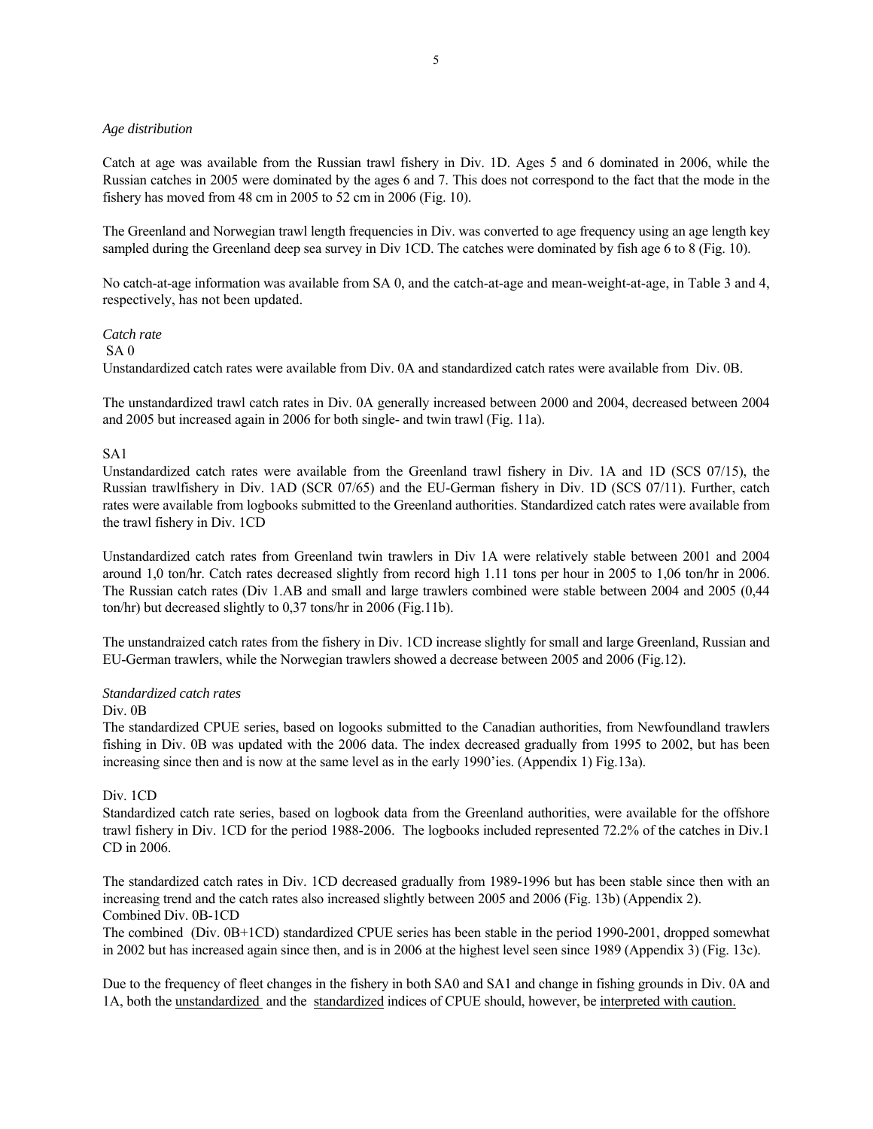# *Age distribution*

Catch at age was available from the Russian trawl fishery in Div. 1D. Ages 5 and 6 dominated in 2006, while the Russian catches in 2005 were dominated by the ages 6 and 7. This does not correspond to the fact that the mode in the fishery has moved from 48 cm in 2005 to 52 cm in 2006 (Fig. 10).

The Greenland and Norwegian trawl length frequencies in Div. was converted to age frequency using an age length key sampled during the Greenland deep sea survey in Div 1CD. The catches were dominated by fish age 6 to 8 (Fig. 10).

No catch-at-age information was available from SA 0, and the catch-at-age and mean-weight-at-age, in Table 3 and 4, respectively, has not been updated.

#### *Catch rate*

#### SA 0

Unstandardized catch rates were available from Div. 0A and standardized catch rates were available from Div. 0B.

The unstandardized trawl catch rates in Div. 0A generally increased between 2000 and 2004, decreased between 2004 and 2005 but increased again in 2006 for both single- and twin trawl (Fig. 11a).

# SA1

Unstandardized catch rates were available from the Greenland trawl fishery in Div. 1A and 1D (SCS 07/15), the Russian trawlfishery in Div. 1AD (SCR 07/65) and the EU-German fishery in Div. 1D (SCS 07/11). Further, catch rates were available from logbooks submitted to the Greenland authorities. Standardized catch rates were available from the trawl fishery in Div. 1CD

Unstandardized catch rates from Greenland twin trawlers in Div 1A were relatively stable between 2001 and 2004 around 1,0 ton/hr. Catch rates decreased slightly from record high 1.11 tons per hour in 2005 to 1,06 ton/hr in 2006. The Russian catch rates (Div 1.AB and small and large trawlers combined were stable between 2004 and 2005 (0,44 ton/hr) but decreased slightly to 0,37 tons/hr in 2006 (Fig.11b).

The unstandraized catch rates from the fishery in Div. 1CD increase slightly for small and large Greenland, Russian and EU-German trawlers, while the Norwegian trawlers showed a decrease between 2005 and 2006 (Fig.12).

#### *Standardized catch rates*

#### Div. 0B

The standardized CPUE series, based on logooks submitted to the Canadian authorities, from Newfoundland trawlers fishing in Div. 0B was updated with the 2006 data. The index decreased gradually from 1995 to 2002, but has been increasing since then and is now at the same level as in the early 1990'ies. (Appendix 1) Fig.13a).

# Div. 1CD

Standardized catch rate series, based on logbook data from the Greenland authorities, were available for the offshore trawl fishery in Div. 1CD for the period 1988-2006. The logbooks included represented 72.2% of the catches in Div.1 CD in 2006.

The standardized catch rates in Div. 1CD decreased gradually from 1989-1996 but has been stable since then with an increasing trend and the catch rates also increased slightly between 2005 and 2006 (Fig. 13b) (Appendix 2). Combined Div. 0B-1CD

The combined (Div. 0B+1CD) standardized CPUE series has been stable in the period 1990-2001, dropped somewhat in 2002 but has increased again since then, and is in 2006 at the highest level seen since 1989 (Appendix 3) (Fig. 13c).

Due to the frequency of fleet changes in the fishery in both SA0 and SA1 and change in fishing grounds in Div. 0A and 1A, both the unstandardized and the standardized indices of CPUE should, however, be interpreted with caution.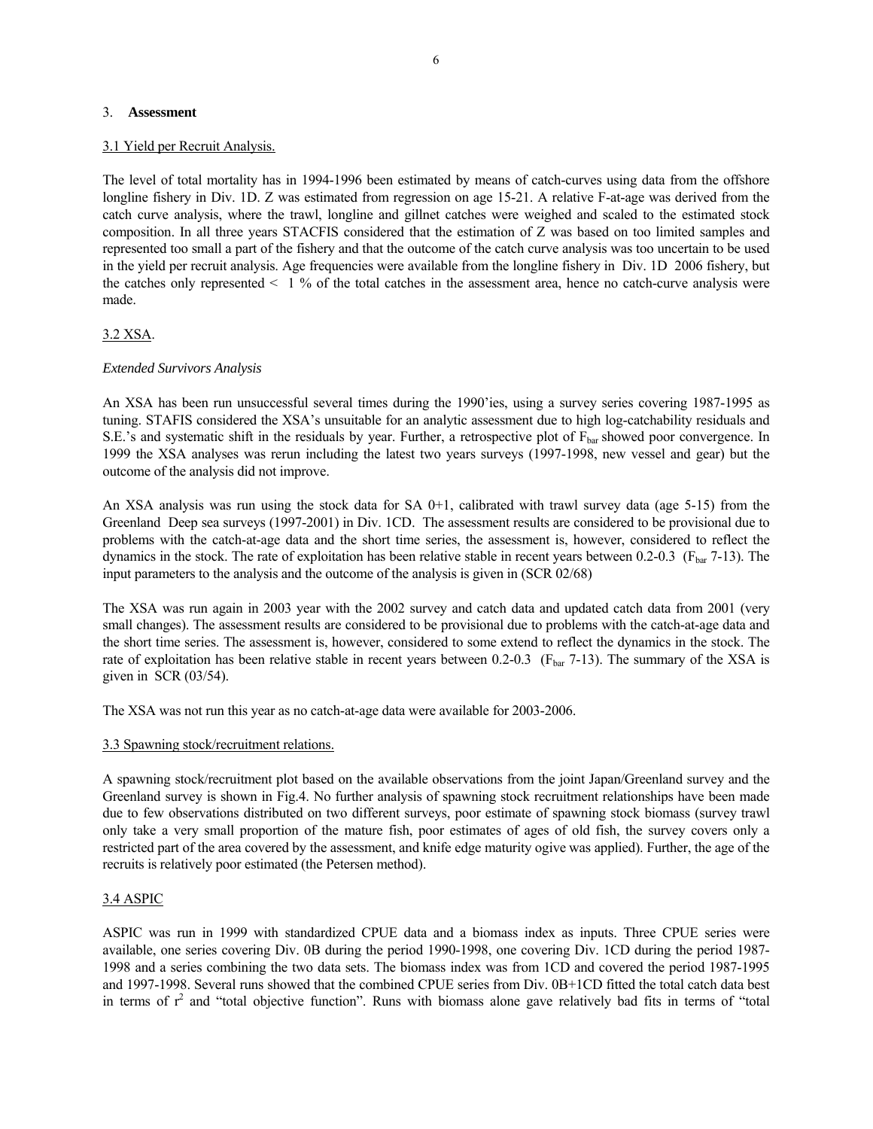#### 3. **Assessment**

#### 3.1 Yield per Recruit Analysis.

The level of total mortality has in 1994-1996 been estimated by means of catch-curves using data from the offshore longline fishery in Div. 1D. Z was estimated from regression on age 15-21. A relative F-at-age was derived from the catch curve analysis, where the trawl, longline and gillnet catches were weighed and scaled to the estimated stock composition. In all three years STACFIS considered that the estimation of Z was based on too limited samples and represented too small a part of the fishery and that the outcome of the catch curve analysis was too uncertain to be used in the yield per recruit analysis. Age frequencies were available from the longline fishery in Div. 1D 2006 fishery, but the catches only represented  $\leq 1$  % of the total catches in the assessment area, hence no catch-curve analysis were made.

# 3.2 XSA.

# *Extended Survivors Analysis*

An XSA has been run unsuccessful several times during the 1990'ies, using a survey series covering 1987-1995 as tuning. STAFIS considered the XSA's unsuitable for an analytic assessment due to high log-catchability residuals and S.E.'s and systematic shift in the residuals by year. Further, a retrospective plot of  $F_{bar}$  showed poor convergence. In 1999 the XSA analyses was rerun including the latest two years surveys (1997-1998, new vessel and gear) but the outcome of the analysis did not improve.

An XSA analysis was run using the stock data for SA  $0+1$ , calibrated with trawl survey data (age 5-15) from the Greenland Deep sea surveys (1997-2001) in Div. 1CD. The assessment results are considered to be provisional due to problems with the catch-at-age data and the short time series, the assessment is, however, considered to reflect the dynamics in the stock. The rate of exploitation has been relative stable in recent years between 0.2-0.3 ( $F_{bar}$ 7-13). The input parameters to the analysis and the outcome of the analysis is given in (SCR 02/68)

The XSA was run again in 2003 year with the 2002 survey and catch data and updated catch data from 2001 (very small changes). The assessment results are considered to be provisional due to problems with the catch-at-age data and the short time series. The assessment is, however, considered to some extend to reflect the dynamics in the stock. The rate of exploitation has been relative stable in recent years between 0.2-0.3 ( $F_{bar}$ 7-13). The summary of the XSA is given in SCR (03/54).

The XSA was not run this year as no catch-at-age data were available for 2003-2006.

# 3.3 Spawning stock/recruitment relations.

A spawning stock/recruitment plot based on the available observations from the joint Japan/Greenland survey and the Greenland survey is shown in Fig.4. No further analysis of spawning stock recruitment relationships have been made due to few observations distributed on two different surveys, poor estimate of spawning stock biomass (survey trawl only take a very small proportion of the mature fish, poor estimates of ages of old fish, the survey covers only a restricted part of the area covered by the assessment, and knife edge maturity ogive was applied). Further, the age of the recruits is relatively poor estimated (the Petersen method).

# 3.4 ASPIC

ASPIC was run in 1999 with standardized CPUE data and a biomass index as inputs. Three CPUE series were available, one series covering Div. 0B during the period 1990-1998, one covering Div. 1CD during the period 1987- 1998 and a series combining the two data sets. The biomass index was from 1CD and covered the period 1987-1995 and 1997-1998. Several runs showed that the combined CPUE series from Div. 0B+1CD fitted the total catch data best in terms of  $r^2$  and "total objective function". Runs with biomass alone gave relatively bad fits in terms of "total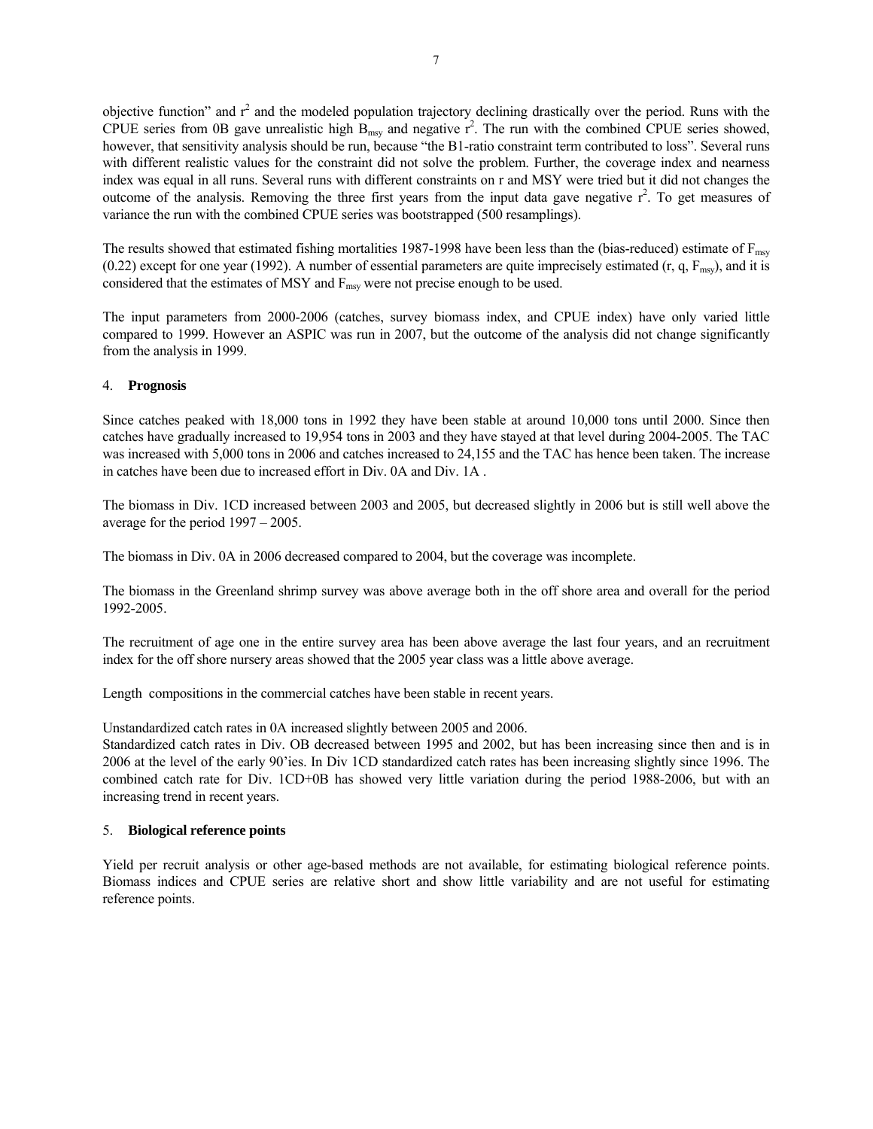objective function" and  $r^2$  and the modeled population trajectory declining drastically over the period. Runs with the CPUE series from 0B gave unrealistic high  $B_{\text{msy}}$  and negative  $r^2$ . The run with the combined CPUE series showed, however, that sensitivity analysis should be run, because "the B1-ratio constraint term contributed to loss". Several runs with different realistic values for the constraint did not solve the problem. Further, the coverage index and nearness index was equal in all runs. Several runs with different constraints on r and MSY were tried but it did not changes the outcome of the analysis. Removing the three first years from the input data gave negative  $r^2$ . To get measures of variance the run with the combined CPUE series was bootstrapped (500 resamplings).

The results showed that estimated fishing mortalities 1987-1998 have been less than the (bias-reduced) estimate of  $F_{\text{msy}}$ (0.22) except for one year (1992). A number of essential parameters are quite imprecisely estimated  $(r, q, F_{msy})$ , and it is considered that the estimates of MSY and  $F_{\text{msv}}$  were not precise enough to be used.

The input parameters from 2000-2006 (catches, survey biomass index, and CPUE index) have only varied little compared to 1999. However an ASPIC was run in 2007, but the outcome of the analysis did not change significantly from the analysis in 1999.

# 4. **Prognosis**

Since catches peaked with 18,000 tons in 1992 they have been stable at around 10,000 tons until 2000. Since then catches have gradually increased to 19,954 tons in 2003 and they have stayed at that level during 2004-2005. The TAC was increased with 5,000 tons in 2006 and catches increased to 24,155 and the TAC has hence been taken. The increase in catches have been due to increased effort in Div. 0A and Div. 1A .

The biomass in Div. 1CD increased between 2003 and 2005, but decreased slightly in 2006 but is still well above the average for the period 1997 – 2005.

The biomass in Div. 0A in 2006 decreased compared to 2004, but the coverage was incomplete.

The biomass in the Greenland shrimp survey was above average both in the off shore area and overall for the period 1992-2005.

The recruitment of age one in the entire survey area has been above average the last four years, and an recruitment index for the off shore nursery areas showed that the 2005 year class was a little above average.

Length compositions in the commercial catches have been stable in recent years.

Unstandardized catch rates in 0A increased slightly between 2005 and 2006.

Standardized catch rates in Div. OB decreased between 1995 and 2002, but has been increasing since then and is in 2006 at the level of the early 90'ies. In Div 1CD standardized catch rates has been increasing slightly since 1996. The combined catch rate for Div. 1CD+0B has showed very little variation during the period 1988-2006, but with an increasing trend in recent years.

# 5. **Biological reference points**

Yield per recruit analysis or other age-based methods are not available, for estimating biological reference points. Biomass indices and CPUE series are relative short and show little variability and are not useful for estimating reference points.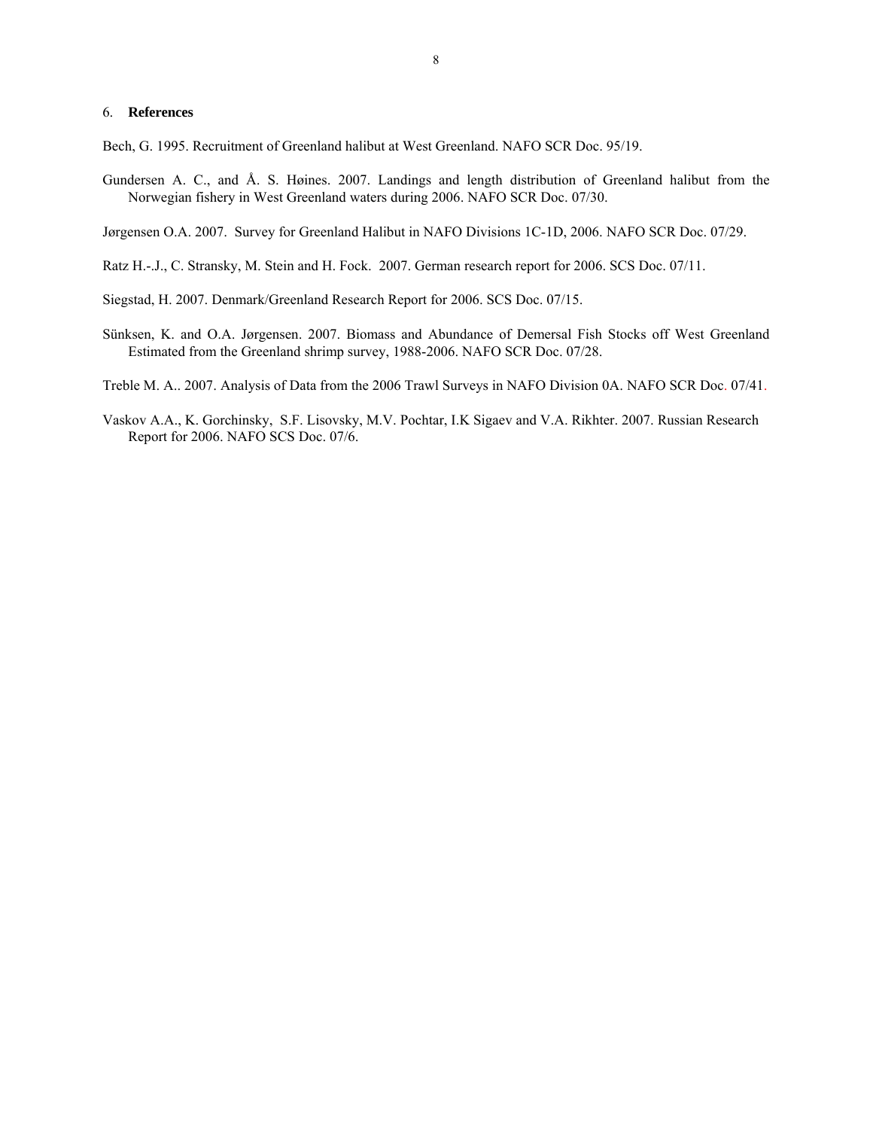#### 6. **References**

Bech, G. 1995. Recruitment of Greenland halibut at West Greenland. NAFO SCR Doc. 95/19.

Gundersen A. C., and Å. S. Høines. 2007. Landings and length distribution of Greenland halibut from the Norwegian fishery in West Greenland waters during 2006. NAFO SCR Doc. 07/30.

Jørgensen O.A. 2007. Survey for Greenland Halibut in NAFO Divisions 1C-1D, 2006. NAFO SCR Doc. 07/29.

- Ratz H.-.J., C. Stransky, M. Stein and H. Fock. 2007. German research report for 2006. SCS Doc. 07/11.
- Siegstad, H. 2007. Denmark/Greenland Research Report for 2006. SCS Doc. 07/15.
- Sünksen, K. and O.A. Jørgensen. 2007. Biomass and Abundance of Demersal Fish Stocks off West Greenland Estimated from the Greenland shrimp survey, 1988-2006. NAFO SCR Doc. 07/28.

Treble M. A.. 2007. Analysis of Data from the 2006 Trawl Surveys in NAFO Division 0A. NAFO SCR Doc. 07/41.

Vaskov A.A., K. Gorchinsky, S.F. Lisovsky, M.V. Pochtar, I.K Sigaev and V.A. Rikhter. 2007. Russian Research Report for 2006. NAFO SCS Doc. 07/6.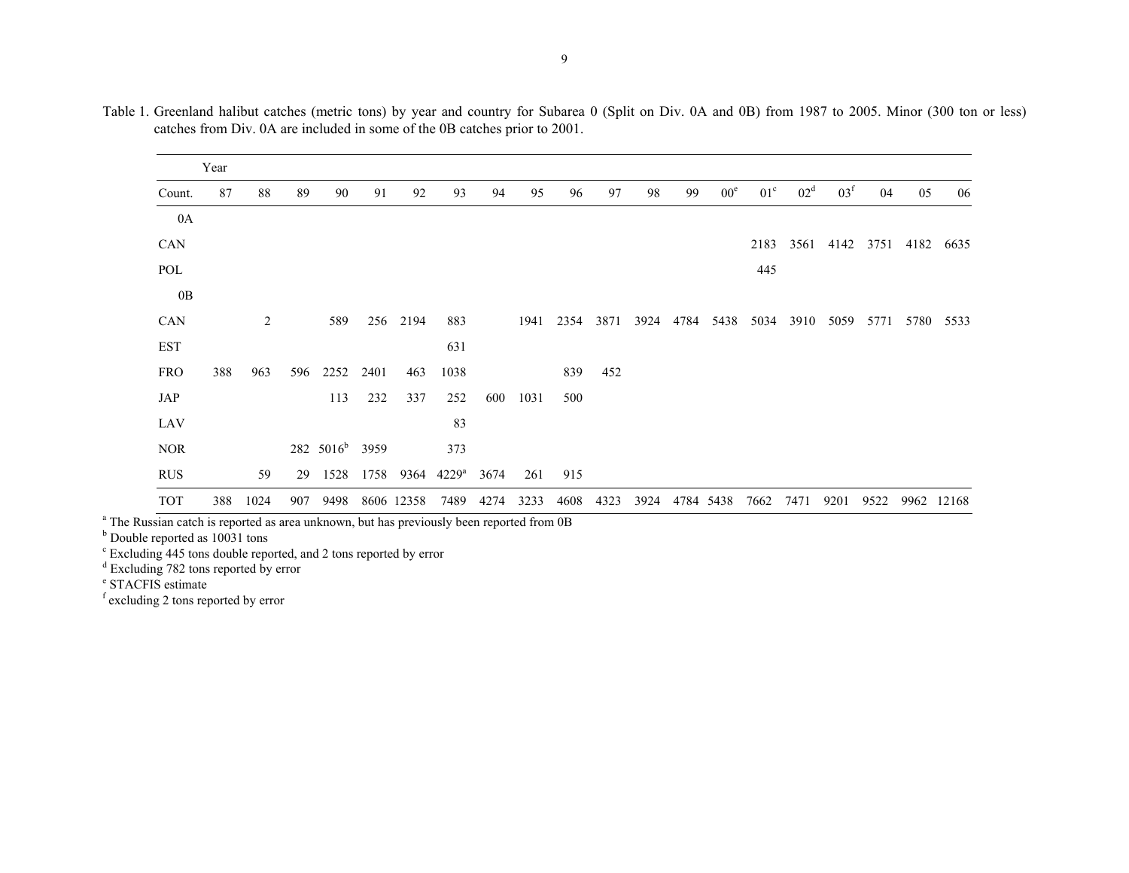|            | Year |                |     |                            |      |            |                |      |      |      |      |      |      |                 |              |                 |                 |      |      |       |
|------------|------|----------------|-----|----------------------------|------|------------|----------------|------|------|------|------|------|------|-----------------|--------------|-----------------|-----------------|------|------|-------|
| Count.     | 87   | 88             | 89  | 90                         | 91   | 92         | 93             | 94   | 95   | 96   | 97   | 98   | 99   | 00 <sup>e</sup> | $01^{\circ}$ | 02 <sup>d</sup> | 03 <sup>f</sup> | 04   | 05   | 06    |
| 0A         |      |                |     |                            |      |            |                |      |      |      |      |      |      |                 |              |                 |                 |      |      |       |
| CAN        |      |                |     |                            |      |            |                |      |      |      |      |      |      |                 | 2183         | 3561            | 4142            | 3751 | 4182 | 6635  |
| POL        |      |                |     |                            |      |            |                |      |      |      |      |      |      |                 | 445          |                 |                 |      |      |       |
| 0B         |      |                |     |                            |      |            |                |      |      |      |      |      |      |                 |              |                 |                 |      |      |       |
| CAN        |      | $\overline{2}$ |     | 589                        |      | 256 2194   | 883            |      | 1941 | 2354 | 3871 | 3924 | 4784 | 5438            | 5034         | 3910            | 5059            | 5771 | 5780 | 5533  |
| <b>EST</b> |      |                |     |                            |      |            | 631            |      |      |      |      |      |      |                 |              |                 |                 |      |      |       |
| <b>FRO</b> | 388  | 963            | 596 | 2252                       | 2401 | 463        | 1038           |      |      | 839  | 452  |      |      |                 |              |                 |                 |      |      |       |
| JAP        |      |                |     | 113                        | 232  | 337        | 252            | 600  | 1031 | 500  |      |      |      |                 |              |                 |                 |      |      |       |
| LAV        |      |                |     |                            |      |            | 83             |      |      |      |      |      |      |                 |              |                 |                 |      |      |       |
| $\rm{NOR}$ |      |                |     | 282 5016 <sup>b</sup> 3959 |      |            | 373            |      |      |      |      |      |      |                 |              |                 |                 |      |      |       |
| <b>RUS</b> |      | 59             | 29  | 1528                       | 1758 | 9364       | $4229^{\rm a}$ | 3674 | 261  | 915  |      |      |      |                 |              |                 |                 |      |      |       |
| <b>TOT</b> | 388  | 1024           | 907 | 9498                       |      | 8606 12358 | 7489           | 4274 | 3233 | 4608 | 4323 | 3924 |      | 4784 5438       | 7662         | 7471            | 9201            | 9522 | 9962 | 12168 |

Table 1. Greenland halibut catches (metric tons) by year and country for Subarea 0 (Split on Div. 0A and 0B) from 1987 to 2005. Minor (300 ton or less) catches from Div. 0A are included in some of the 0B catches prior to 2001.

<sup>a</sup> The Russian catch is reported as area unknown, but has previously been reported from 0B

<sup>b</sup> Double reported as 10031 tons

c Excluding 445 tons double reported, and 2 tons reported by error

<sup>d</sup> Excluding 782 tons reported by error

<sup>e</sup> STACFIS estimate

f excluding 2 tons reported by error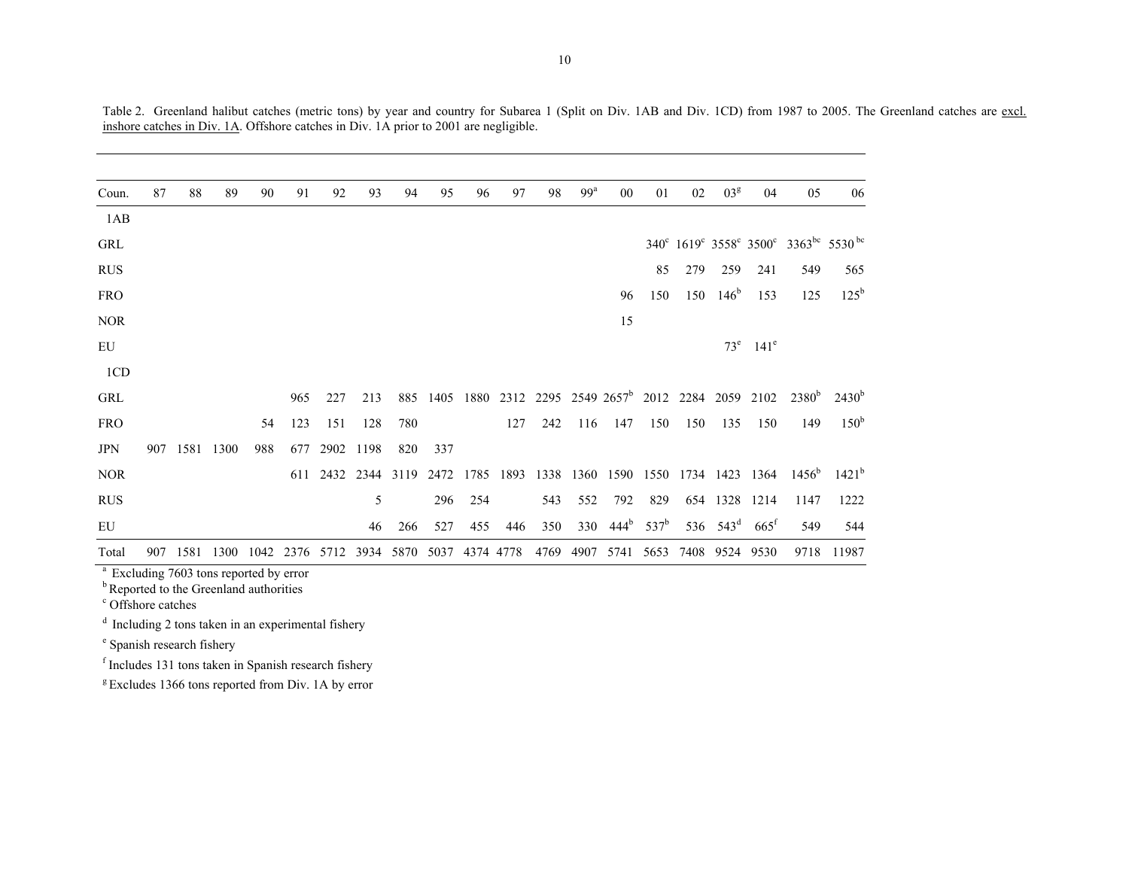| Coun.      | 87  | 88        | 89   | 90   | 91   | 92        | 93   | 94   | 95   | 96        | 97  | 98   | 99 <sup>a</sup> | 00                                                             | 01               | 02   | 03 <sup>g</sup> | 04                      | 05                                                                                     | 06                                                           |
|------------|-----|-----------|------|------|------|-----------|------|------|------|-----------|-----|------|-----------------|----------------------------------------------------------------|------------------|------|-----------------|-------------------------|----------------------------------------------------------------------------------------|--------------------------------------------------------------|
| 1AB        |     |           |      |      |      |           |      |      |      |           |     |      |                 |                                                                |                  |      |                 |                         |                                                                                        |                                                              |
| <b>GRL</b> |     |           |      |      |      |           |      |      |      |           |     |      |                 |                                                                |                  |      |                 |                         |                                                                                        | 340° 1619° 3558° 3500° 3363 <sup>bc</sup> 5530 <sup>bc</sup> |
| <b>RUS</b> |     |           |      |      |      |           |      |      |      |           |     |      |                 |                                                                | 85               | 279  | 259             | 241                     | 549                                                                                    | 565                                                          |
| <b>FRO</b> |     |           |      |      |      |           |      |      |      |           |     |      |                 | 96                                                             | 150              | 150  | $146^{\rm b}$   | 153                     | 125                                                                                    | $125^{\rm b}$                                                |
| <b>NOR</b> |     |           |      |      |      |           |      |      |      |           |     |      |                 | 15                                                             |                  |      |                 |                         |                                                                                        |                                                              |
| EU         |     |           |      |      |      |           |      |      |      |           |     |      |                 |                                                                |                  |      |                 | $73^e$ 141 <sup>e</sup> |                                                                                        |                                                              |
| 1CD        |     |           |      |      |      |           |      |      |      |           |     |      |                 |                                                                |                  |      |                 |                         |                                                                                        |                                                              |
| <b>GRL</b> |     |           |      |      | 965  | 227       | 213  | 885  |      |           |     |      |                 | 1405 1880 2312 2295 2549 2657 <sup>b</sup> 2012 2284 2059 2102 |                  |      |                 |                         | 2380 <sup>b</sup>                                                                      | $2430^{b}$                                                   |
| <b>FRO</b> |     |           |      | 54   | 123  | 151       | 128  | 780  |      |           | 127 | 242  | 116             | 147                                                            | 150              | 150  | 135             | 150                     | 149                                                                                    | 150 <sup>b</sup>                                             |
| <b>JPN</b> | 907 | 1581 1300 |      | 988  | 677  | 2902 1198 |      | 820  | 337  |           |     |      |                 |                                                                |                  |      |                 |                         |                                                                                        |                                                              |
| <b>NOR</b> |     |           |      |      |      |           |      |      |      |           |     |      |                 |                                                                |                  |      |                 |                         | 611 2432 2344 3119 2472 1785 1893 1338 1360 1590 1550 1734 1423 1364 1456 <sup>6</sup> | $1421^{\rm b}$                                               |
| <b>RUS</b> |     |           |      |      |      |           | 5    |      | 296  | 254       |     | 543  | 552             | 792                                                            | 829              |      |                 | 654 1328 1214           | 1147                                                                                   | 1222                                                         |
| EU         |     |           |      |      |      |           | 46   | 266  | 527  | 455       | 446 | 350  | 330             | 444 <sup>b</sup>                                               | 537 <sup>b</sup> |      | 536 $543^d$     | $665$ <sup>f</sup>      | 549                                                                                    | 544                                                          |
| Total      | 907 | 1581      | 1300 | 1042 | 2376 | 5712      | 3934 | 5870 | 5037 | 4374 4778 |     | 4769 | 4907            | 5741                                                           | 5653             | 7408 | 9524            | 9530                    | 9718                                                                                   | 11987                                                        |

Table 2. Greenland halibut catches (metric tons) by year and country for Subarea 1 (Split on Div. 1AB and Div. 1CD) from 1987 to 2005. The Greenland catches are excl. inshore catches in Div. 1A. Offshore catches in Div. 1A prior to 2001 are negligible.

<sup>a</sup> Excluding 7603 tons reported by error

<sup>b</sup> Reported to the Greenland authorities

c Offshore catches

 $d$  Including 2 tons taken in an experimental fishery

e Spanish research fishery

f Includes 131 tons taken in Spanish research fishery

<sup>g</sup> Excludes 1366 tons reported from Div. 1A by error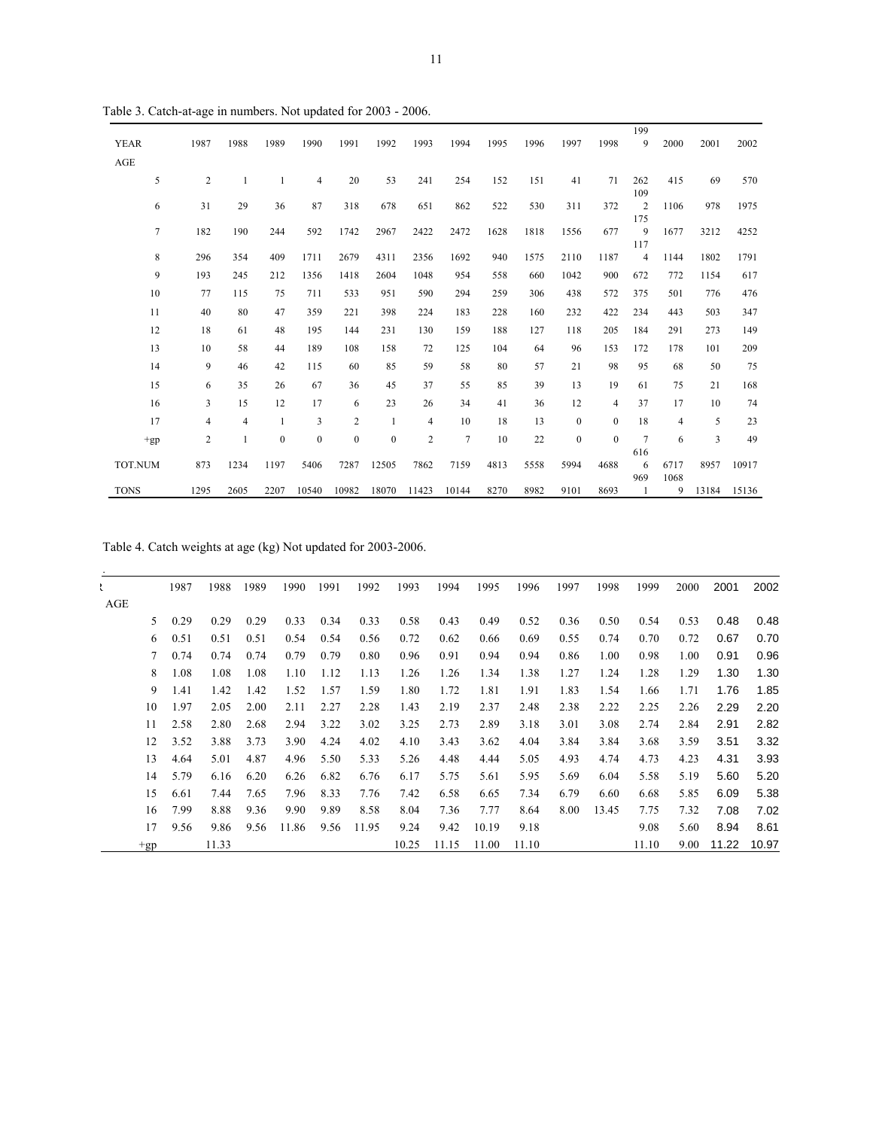| <b>YEAR</b>    | 1987           | 1988           | 1989         | 1990           | 1991         | 1992         | 1993           | 1994           | 1995 | 1996 | 1997             | 1998         | 199<br>9              | 2000         | 2001  | 2002  |
|----------------|----------------|----------------|--------------|----------------|--------------|--------------|----------------|----------------|------|------|------------------|--------------|-----------------------|--------------|-------|-------|
| AGE            |                |                |              |                |              |              |                |                |      |      |                  |              |                       |              |       |       |
| 5              | $\overline{c}$ | 1              | 1            | $\overline{4}$ | 20           | 53           | 241            | 254            | 152  | 151  | 41               | 71           | 262<br>109            | 415          | 69    | 570   |
| 6              | 31             | 29             | 36           | 87             | 318          | 678          | 651            | 862            | 522  | 530  | 311              | 372          | $\overline{2}$<br>175 | 1106         | 978   | 1975  |
| $\overline{7}$ | 182            | 190            | 244          | 592            | 1742         | 2967         | 2422           | 2472           | 1628 | 1818 | 1556             | 677          | 9<br>117              | 1677         | 3212  | 4252  |
| 8              | 296            | 354            | 409          | 1711           | 2679         | 4311         | 2356           | 1692           | 940  | 1575 | 2110             | 1187         | 4                     | 1144         | 1802  | 1791  |
| 9              | 193            | 245            | 212          | 1356           | 1418         | 2604         | 1048           | 954            | 558  | 660  | 1042             | 900          | 672                   | 772          | 1154  | 617   |
| 10             | 77             | 115            | 75           | 711            | 533          | 951          | 590            | 294            | 259  | 306  | 438              | 572          | 375                   | 501          | 776   | 476   |
| 11             | 40             | 80             | 47           | 359            | 221          | 398          | 224            | 183            | 228  | 160  | 232              | 422          | 234                   | 443          | 503   | 347   |
| 12             | 18             | 61             | 48           | 195            | 144          | 231          | 130            | 159            | 188  | 127  | 118              | 205          | 184                   | 291          | 273   | 149   |
| 13             | 10             | 58             | 44           | 189            | 108          | 158          | 72             | 125            | 104  | 64   | 96               | 153          | 172                   | 178          | 101   | 209   |
| 14             | 9              | 46             | 42           | 115            | 60           | 85           | 59             | 58             | 80   | 57   | 21               | 98           | 95                    | 68           | 50    | 75    |
| 15             | 6              | 35             | 26           | 67             | 36           | 45           | 37             | 55             | 85   | 39   | 13               | 19           | 61                    | 75           | 21    | 168   |
| 16             | 3              | 15             | 12           | 17             | 6            | 23           | 26             | 34             | 41   | 36   | 12               | 4            | 37                    | 17           | 10    | 74    |
| 17             | $\overline{4}$ | $\overline{4}$ |              | 3              | $\mathbf{2}$ | $\mathbf{1}$ | 4              | 10             | 18   | 13   | $\boldsymbol{0}$ | $\mathbf{0}$ | 18                    | 4            | 5     | 23    |
| $+gp$          | $\overline{2}$ | 1              | $\mathbf{0}$ | $\mathbf{0}$   | $\bf{0}$     | $\mathbf{0}$ | $\overline{2}$ | $\overline{7}$ | 10   | 22   | $\mathbf{0}$     | $\Omega$     | $\overline{7}$        | 6            | 3     | 49    |
|                |                |                |              |                |              |              |                |                |      |      |                  |              | 616                   |              |       |       |
| TOT.NUM        | 873            | 1234           | 1197         | 5406           | 7287         | 12505        | 7862           | 7159           | 4813 | 5558 | 5994             | 4688         | 6<br>969              | 6717<br>1068 | 8957  | 10917 |
| <b>TONS</b>    | 1295           | 2605           | 2207         | 10540          | 10982        | 18070        | 11423          | 10144          | 8270 | 8982 | 9101             | 8693         |                       | 9            | 13184 | 15136 |

Table 3. Catch-at-age in numbers. Not updated for 2003 - 2006.

Table 4. Catch weights at age (kg) Not updated for 2003-2006.

| ı   |       | 1987 | 1988  | 1989 | 1990  | 1991 | 1992  | 1993  | 1994  | 1995  | 1996  | 1997 | 1998  | 1999  | 2000 | 2001  | 2002  |
|-----|-------|------|-------|------|-------|------|-------|-------|-------|-------|-------|------|-------|-------|------|-------|-------|
| AGE |       |      |       |      |       |      |       |       |       |       |       |      |       |       |      |       |       |
|     | 5     | 0.29 | 0.29  | 0.29 | 0.33  | 0.34 | 0.33  | 0.58  | 0.43  | 0.49  | 0.52  | 0.36 | 0.50  | 0.54  | 0.53 | 0.48  | 0.48  |
|     | 6     | 0.51 | 0.51  | 0.51 | 0.54  | 0.54 | 0.56  | 0.72  | 0.62  | 0.66  | 0.69  | 0.55 | 0.74  | 0.70  | 0.72 | 0.67  | 0.70  |
|     | 7     | 0.74 | 0.74  | 0.74 | 0.79  | 0.79 | 0.80  | 0.96  | 0.91  | 0.94  | 0.94  | 0.86 | 1.00  | 0.98  | 1.00 | 0.91  | 0.96  |
|     | 8     | 1.08 | 1.08  | 1.08 | 1.10  | 1.12 | 1.13  | 1.26  | 1.26  | 1.34  | 1.38  | 1.27 | 1.24  | 1.28  | 1.29 | 1.30  | 1.30  |
|     | 9     | 1.41 | 1.42  | 1.42 | 1.52  | 1.57 | 1.59  | 1.80  | 1.72  | 1.81  | 1.91  | 1.83 | 1.54  | 1.66  | 1.71 | 1.76  | 1.85  |
|     | 10    | 1.97 | 2.05  | 2.00 | 2.11  | 2.27 | 2.28  | 1.43  | 2.19  | 2.37  | 2.48  | 2.38 | 2.22  | 2.25  | 2.26 | 2.29  | 2.20  |
|     | 11    | 2.58 | 2.80  | 2.68 | 2.94  | 3.22 | 3.02  | 3.25  | 2.73  | 2.89  | 3.18  | 3.01 | 3.08  | 2.74  | 2.84 | 2.91  | 2.82  |
|     | 12    | 3.52 | 3.88  | 3.73 | 3.90  | 4.24 | 4.02  | 4.10  | 3.43  | 3.62  | 4.04  | 3.84 | 3.84  | 3.68  | 3.59 | 3.51  | 3.32  |
|     | 13    | 4.64 | 5.01  | 4.87 | 4.96  | 5.50 | 5.33  | 5.26  | 4.48  | 4.44  | 5.05  | 4.93 | 4.74  | 4.73  | 4.23 | 4.31  | 3.93  |
|     | 14    | 5.79 | 6.16  | 6.20 | 6.26  | 6.82 | 6.76  | 6.17  | 5.75  | 5.61  | 5.95  | 5.69 | 6.04  | 5.58  | 5.19 | 5.60  | 5.20  |
|     | 15    | 6.61 | 7.44  | 7.65 | 7.96  | 8.33 | 7.76  | 7.42  | 6.58  | 6.65  | 7.34  | 6.79 | 6.60  | 6.68  | 5.85 | 6.09  | 5.38  |
|     | 16    | 7.99 | 8.88  | 9.36 | 9.90  | 9.89 | 8.58  | 8.04  | 7.36  | 7.77  | 8.64  | 8.00 | 13.45 | 7.75  | 7.32 | 7.08  | 7.02  |
|     | 17    | 9.56 | 9.86  | 9.56 | 11.86 | 9.56 | 11.95 | 9.24  | 9.42  | 10.19 | 9.18  |      |       | 9.08  | 5.60 | 8.94  | 8.61  |
|     | $+gp$ |      | 11.33 |      |       |      |       | 10.25 | 11.15 | 11.00 | 11.10 |      |       | 11.10 | 9.00 | 11.22 | 10.97 |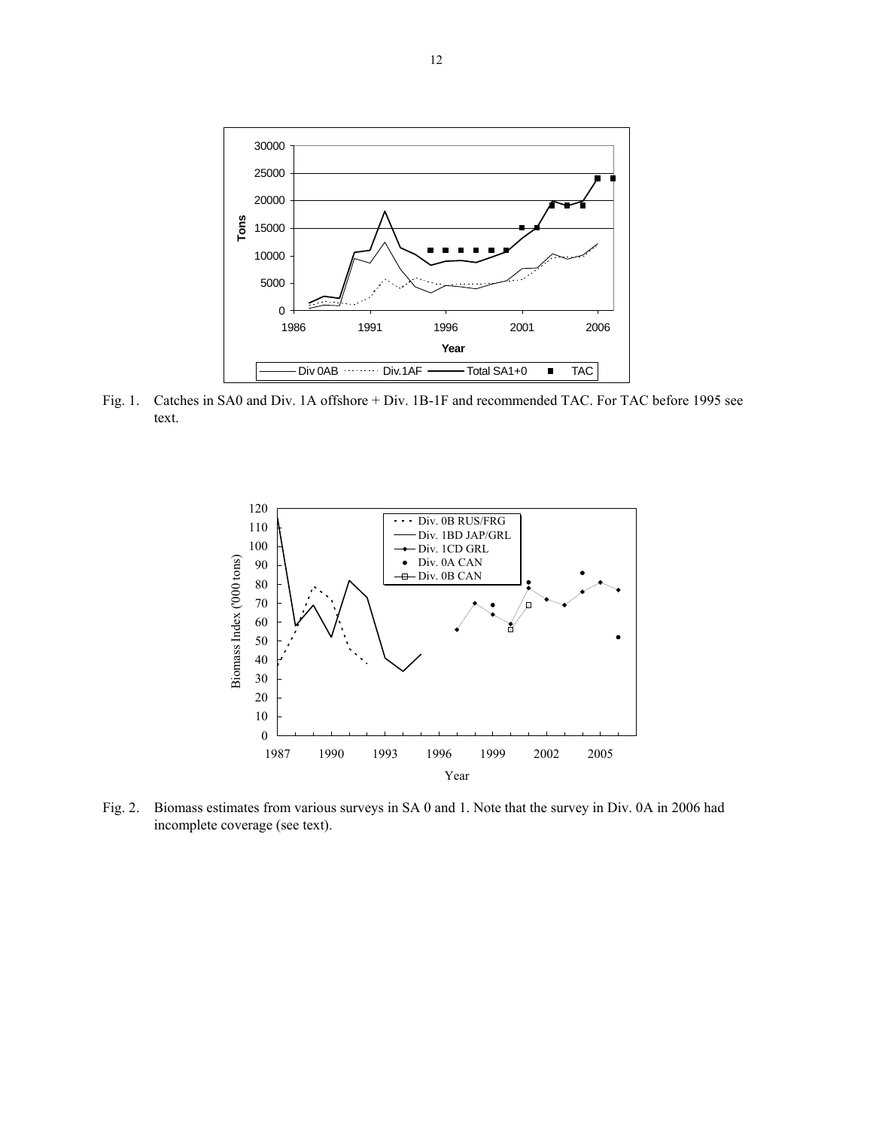

Fig. 1. Catches in SA0 and Div. 1A offshore + Div. 1B-1F and recommended TAC. For TAC before 1995 see text.



Fig. 2. Biomass estimates from various surveys in SA 0 and 1. Note that the survey in Div. 0A in 2006 had incomplete coverage (see text).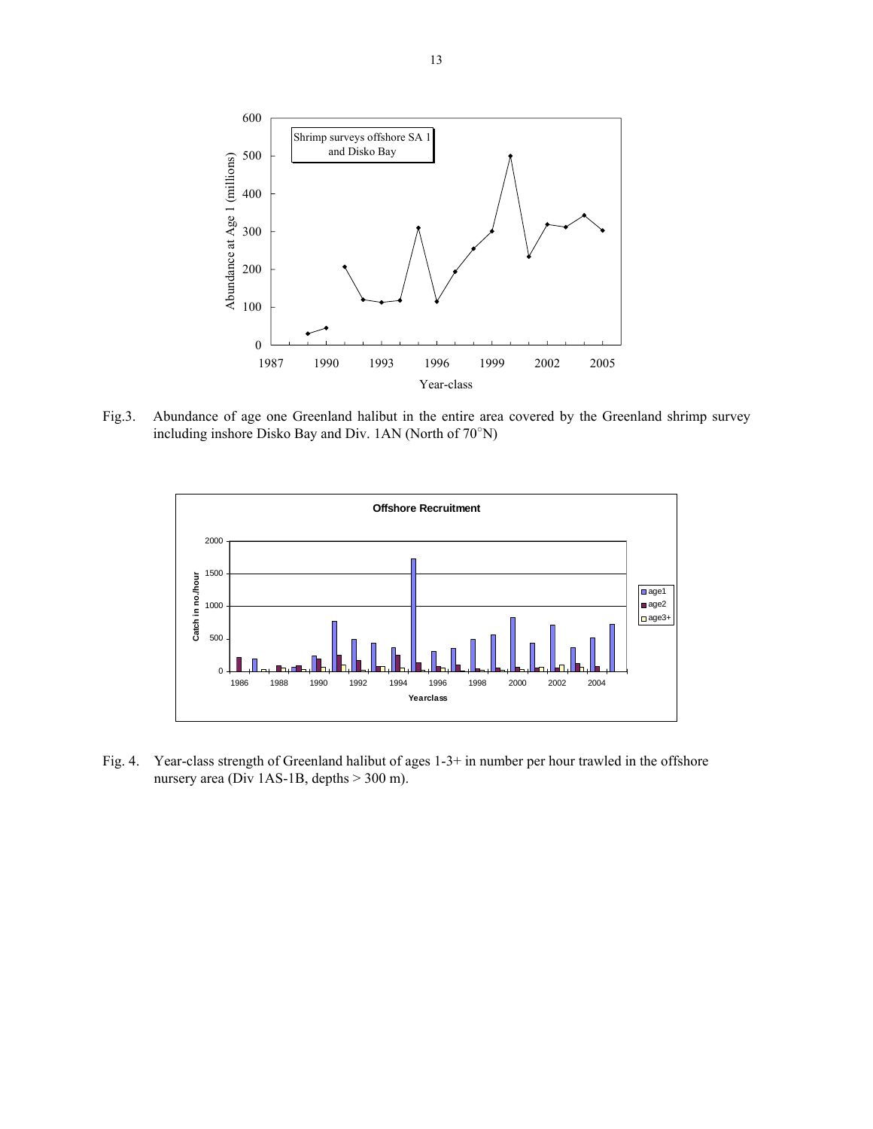

Fig.3. Abundance of age one Greenland halibut in the entire area covered by the Greenland shrimp survey including inshore Disko Bay and Div. 1AN (North of 70○ N)



Fig. 4. Year-class strength of Greenland halibut of ages 1-3+ in number per hour trawled in the offshore nursery area (Div 1AS-1B, depths > 300 m).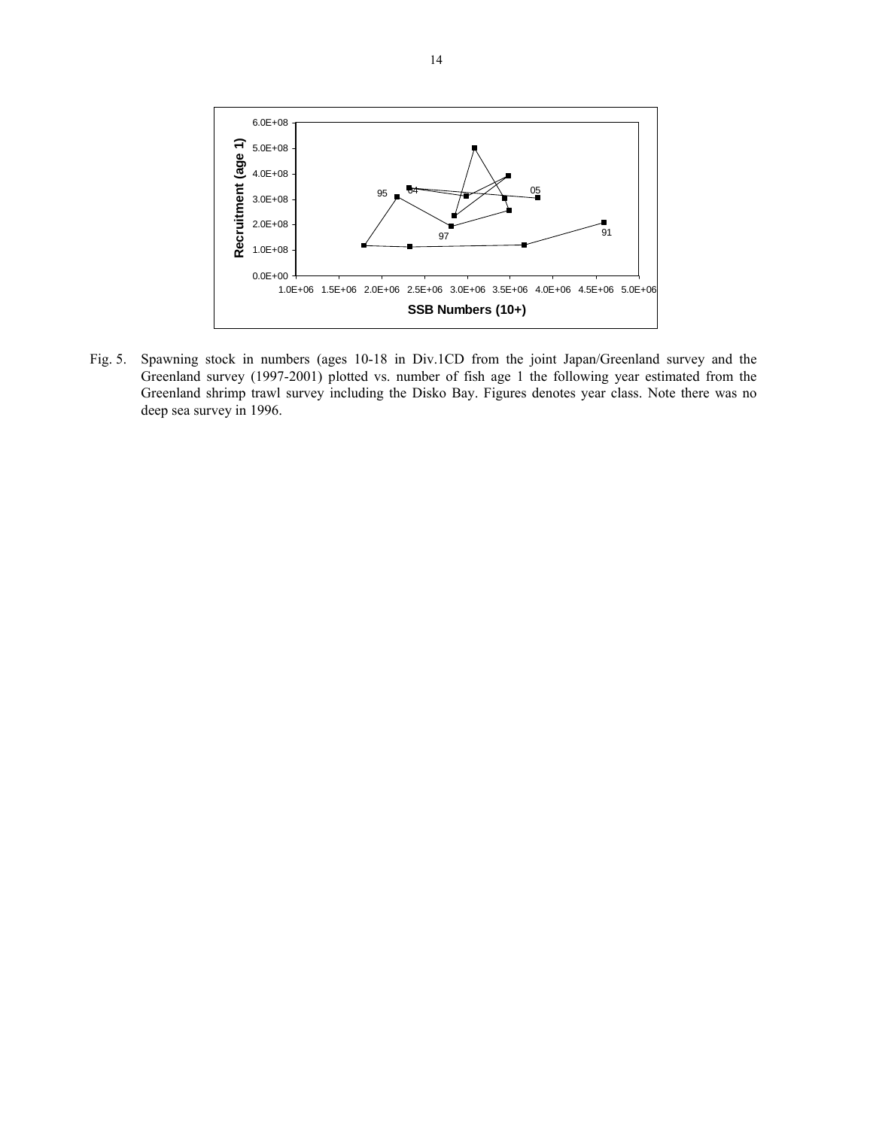

Fig. 5. Spawning stock in numbers (ages 10-18 in Div.1CD from the joint Japan/Greenland survey and the Greenland survey (1997-2001) plotted vs. number of fish age 1 the following year estimated from the Greenland shrimp trawl survey including the Disko Bay. Figures denotes year class. Note there was no deep sea survey in 1996.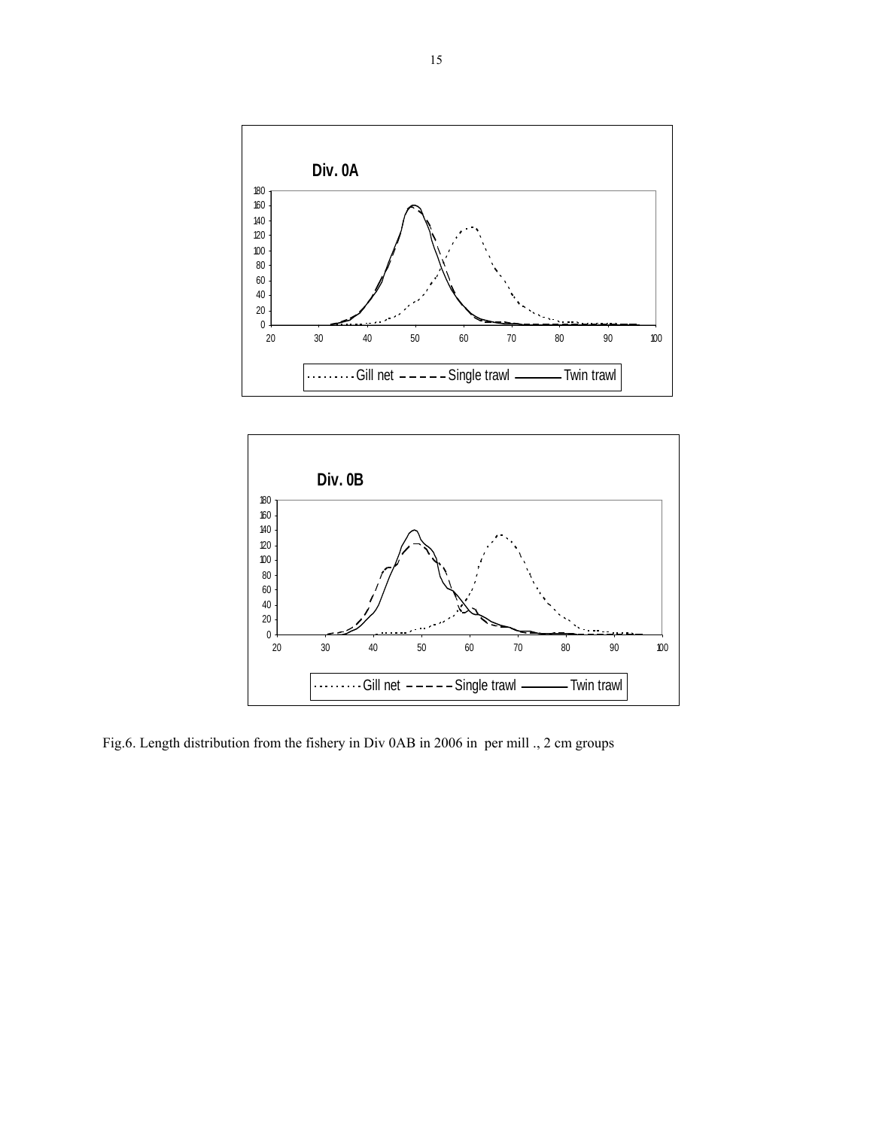



Fig.6. Length distribution from the fishery in Div 0AB in 2006 in per mill ., 2 cm groups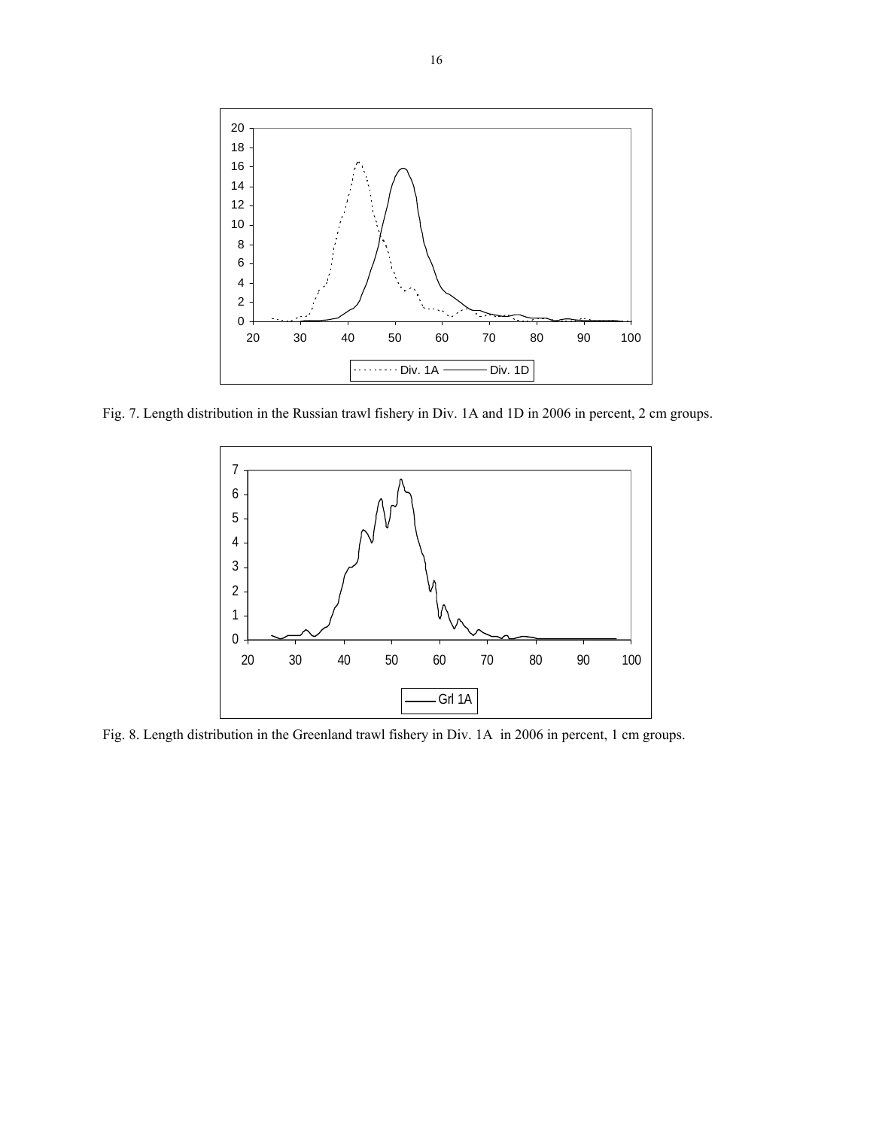

Fig. 7. Length distribution in the Russian trawl fishery in Div. 1A and 1D in 2006 in percent, 2 cm groups.



Fig. 8. Length distribution in the Greenland trawl fishery in Div. 1A in 2006 in percent, 1 cm groups.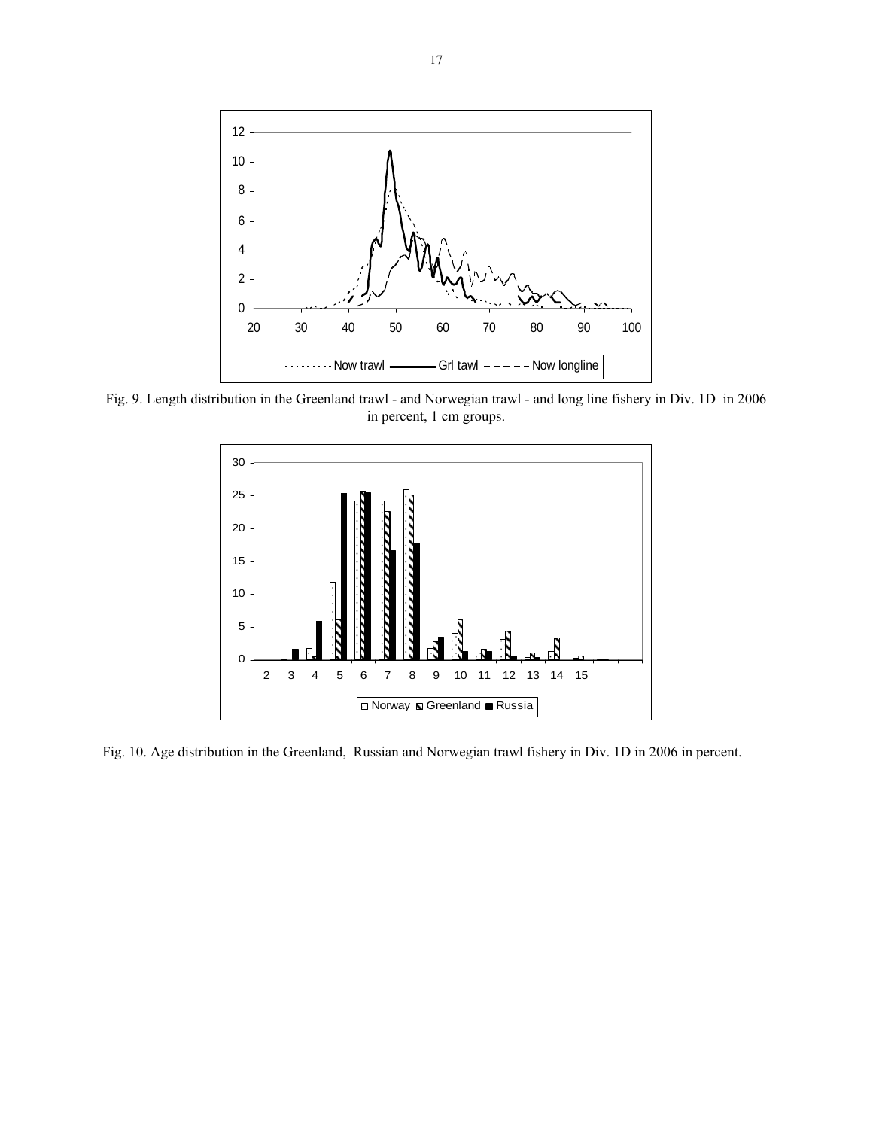

Fig. 9. Length distribution in the Greenland trawl - and Norwegian trawl - and long line fishery in Div. 1D in 2006 in percent, 1 cm groups.



Fig. 10. Age distribution in the Greenland, Russian and Norwegian trawl fishery in Div. 1D in 2006 in percent.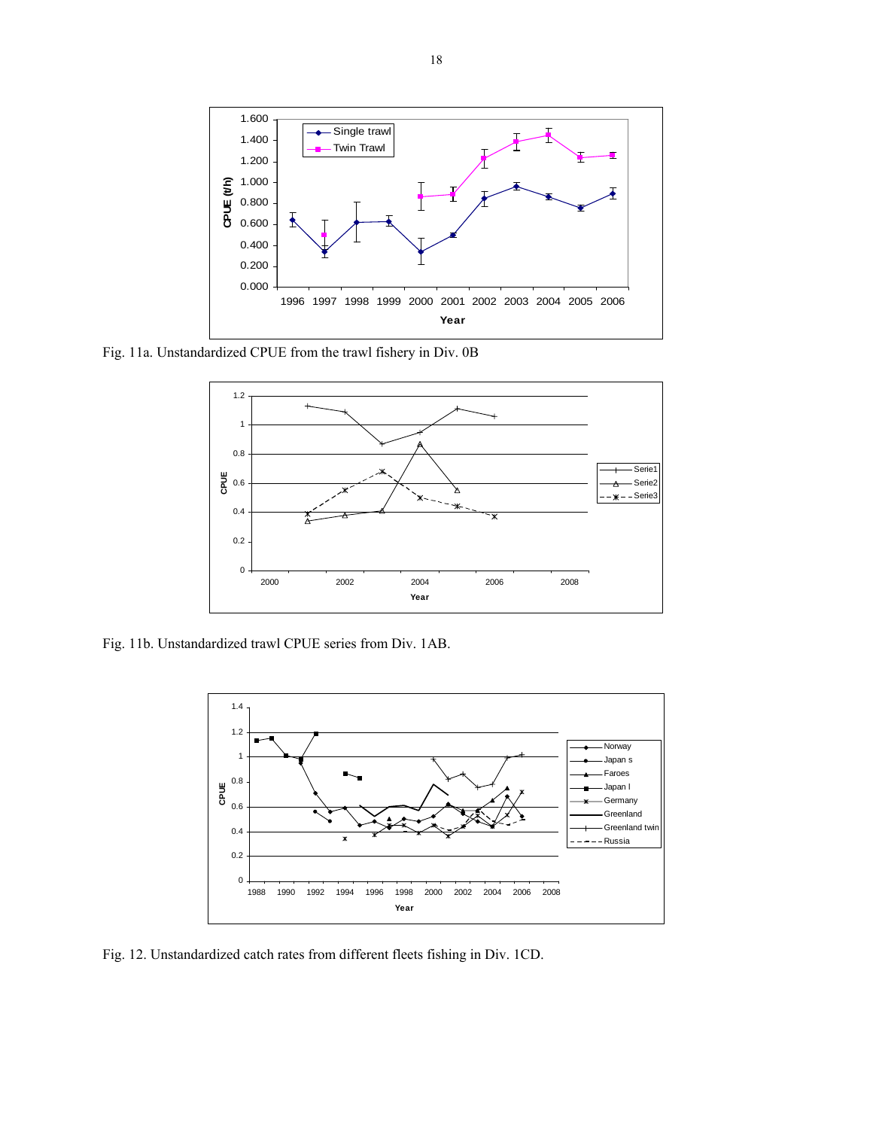

Fig. 11a. Unstandardized CPUE from the trawl fishery in Div. 0B



Fig. 11b. Unstandardized trawl CPUE series from Div. 1AB.



Fig. 12. Unstandardized catch rates from different fleets fishing in Div. 1CD.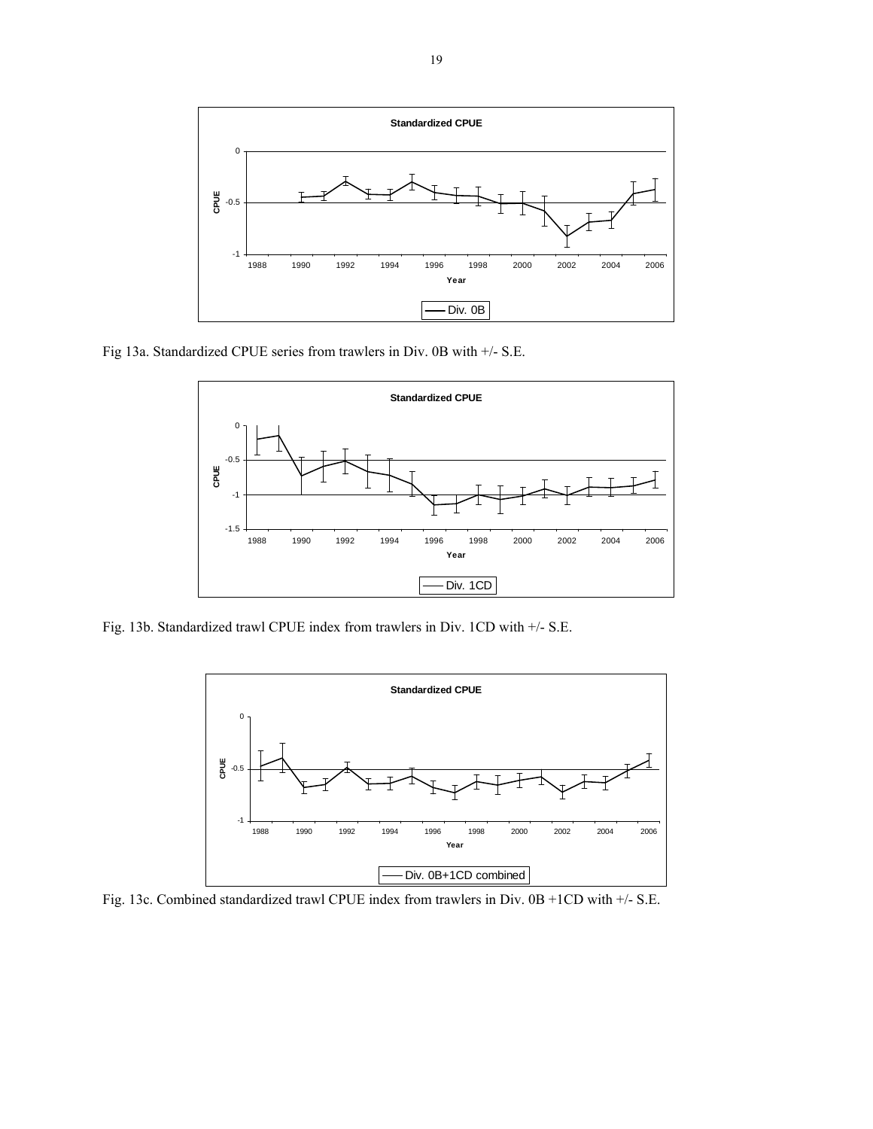

Fig 13a. Standardized CPUE series from trawlers in Div. 0B with +/- S.E.



Fig. 13b. Standardized trawl CPUE index from trawlers in Div. 1CD with +/- S.E.



Fig. 13c. Combined standardized trawl CPUE index from trawlers in Div. 0B +1CD with +/- S.E.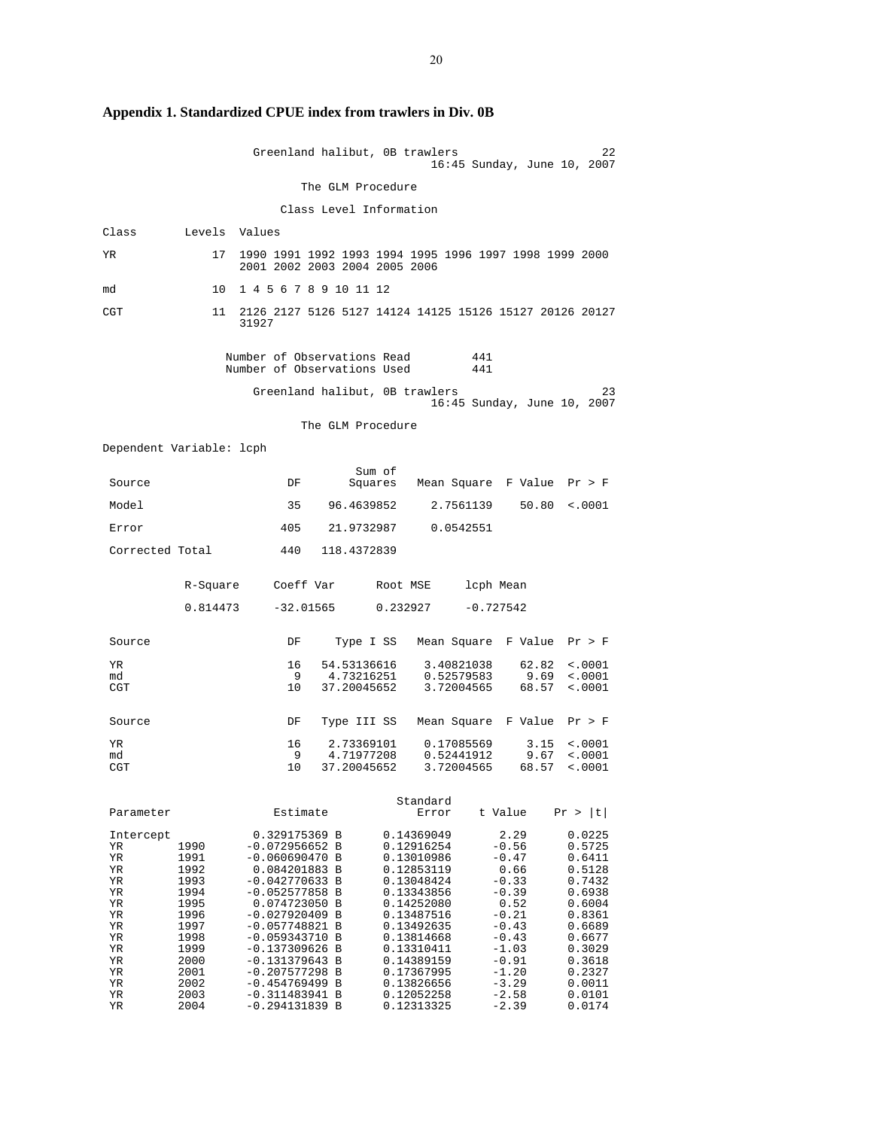|                          |              | Greenland halibut, OB trawlers                                                          |                           |                   |                          |             |                     | 22<br>16:45 Sunday, June 10, 2007 |
|--------------------------|--------------|-----------------------------------------------------------------------------------------|---------------------------|-------------------|--------------------------|-------------|---------------------|-----------------------------------|
|                          |              |                                                                                         | The GLM Procedure         |                   |                          |             |                     |                                   |
|                          |              |                                                                                         | Class Level Information   |                   |                          |             |                     |                                   |
| Class                    | Levels       | Values                                                                                  |                           |                   |                          |             |                     |                                   |
| YR                       | 17           | 1990 1991 1992 1993 1994 1995 1996 1997 1998 1999 2000<br>2001 2002 2003 2004 2005 2006 |                           |                   |                          |             |                     |                                   |
| md                       | 10           | 1 4 5 6 7 8 9 10 11 12                                                                  |                           |                   |                          |             |                     |                                   |
| CGT                      | 11           | 2126 2127 5126 5127 14124 14125 15126 15127 20126 20127<br>31927                        |                           |                   |                          |             |                     |                                   |
|                          |              | Number of Observations Read<br>Number of Observations Used                              |                           |                   |                          | 441<br>441  |                     |                                   |
|                          |              | Greenland halibut, OB trawlers                                                          |                           |                   |                          |             |                     | 23<br>16:45 Sunday, June 10, 2007 |
|                          |              |                                                                                         | The GLM Procedure         |                   |                          |             |                     |                                   |
| Dependent Variable: lcph |              |                                                                                         |                           |                   |                          |             |                     |                                   |
| Source                   |              | DF                                                                                      |                           | Sum of<br>Squares |                          |             |                     | Mean Square F Value Pr > F        |
| Model                    |              | 35                                                                                      | 96.4639852                |                   |                          | 2.7561139   | 50.80               | < .0001                           |
| Error                    |              | 405                                                                                     | 21.9732987                |                   |                          | 0.0542551   |                     |                                   |
| Corrected Total          |              | 440                                                                                     | 118.4372839               |                   |                          |             |                     |                                   |
|                          | R-Square     | Coeff Var                                                                               |                           | Root MSE          |                          | lcph Mean   |                     |                                   |
|                          | 0.814473     | $-32.01565$                                                                             |                           | 0.232927          |                          | $-0.727542$ |                     |                                   |
| Source                   |              | DF                                                                                      |                           | Type I SS         |                          |             |                     | Mean Square F Value Pr > F        |
| YR<br>md                 |              | 16<br>- 9                                                                               | 54.53136616<br>4.73216251 |                   | 3.40821038<br>0.52579583 |             | 62.82<br>9.69       | $\sim 0001$<br>< .0001            |
| CGT                      |              | 10                                                                                      | 37.20045652               |                   | 3.72004565               |             | 68.57               | < .0001                           |
| Source                   |              | DF                                                                                      | Type III SS               |                   |                          |             | Mean Square F Value | Pr > F                            |
| YR<br>md                 |              | 16<br>9                                                                                 | 2.73369101<br>4.71977208  |                   | 0.17085569<br>0.52441912 |             | 3.15<br>9.67        | $\sim 0001$<br>< .0001            |
| CGT                      |              | 10                                                                                      | 37.20045652               |                   | 3.72004565               |             | 68.57               | $\sim 0001$                       |
| Parameter                |              | Estimate                                                                                |                           |                   | Standard<br>Error        |             | t Value             | Pr >  t                           |
| Intercept                | 1990         | 0.329175369 B                                                                           |                           |                   | 0.14369049<br>0.12916254 |             | 2.29<br>$-0.56$     | 0.0225                            |
| ΥR<br>YR                 | 1991         | $-0.072956652 B$<br>$-0.060690470 B$                                                    |                           |                   | 0.13010986               |             | $-0.47$             | 0.5725<br>0.6411                  |
| ΥR<br>ΥR                 | 1992<br>1993 | 0.084201883 B<br>$-0.042770633 B$                                                       |                           |                   | 0.12853119<br>0.13048424 |             | 0.66<br>$-0.33$     | 0.5128<br>0.7432                  |
| ΥR<br>ΥR                 | 1994<br>1995 | $-0.052577858$ B<br>0.074723050 B                                                       |                           |                   | 0.13343856<br>0.14252080 |             | $-0.39$<br>0.52     | 0.6938<br>0.6004                  |
| ΥR                       | 1996         | $-0.027920409$ B                                                                        |                           |                   | 0.13487516               |             | $-0.21$             | 0.8361                            |
| ΥR<br>ΥR                 | 1997<br>1998 | $-0.057748821 B$<br>$-0.059343710 B$                                                    |                           |                   | 0.13492635<br>0.13814668 |             | $-0.43$<br>$-0.43$  | 0.6689<br>0.6677                  |
| ΥR                       | 1999         | $-0.137309626$ B                                                                        |                           |                   | 0.13310411               |             | $-1.03$             | 0.3029                            |
| ΥR<br>ΥR                 | 2000<br>2001 | $-0.131379643 B$<br>$-0.207577298$ B                                                    |                           |                   | 0.14389159<br>0.17367995 |             | $-0.91$<br>$-1.20$  | 0.3618<br>0.2327                  |
| ΥR                       | 2002         | $-0.454769499 B$                                                                        |                           |                   | 0.13826656               |             | $-3.29$             | 0.0011                            |
| ΥR<br>ΥR                 | 2003<br>2004 | $-0.311483941 B$<br>$-0.294131839 B$                                                    |                           |                   | 0.12052258<br>0.12313325 |             | $-2.58$<br>$-2.39$  | 0.0101<br>0.0174                  |

**Appendix 1. Standardized CPUE index from trawlers in Div. 0B**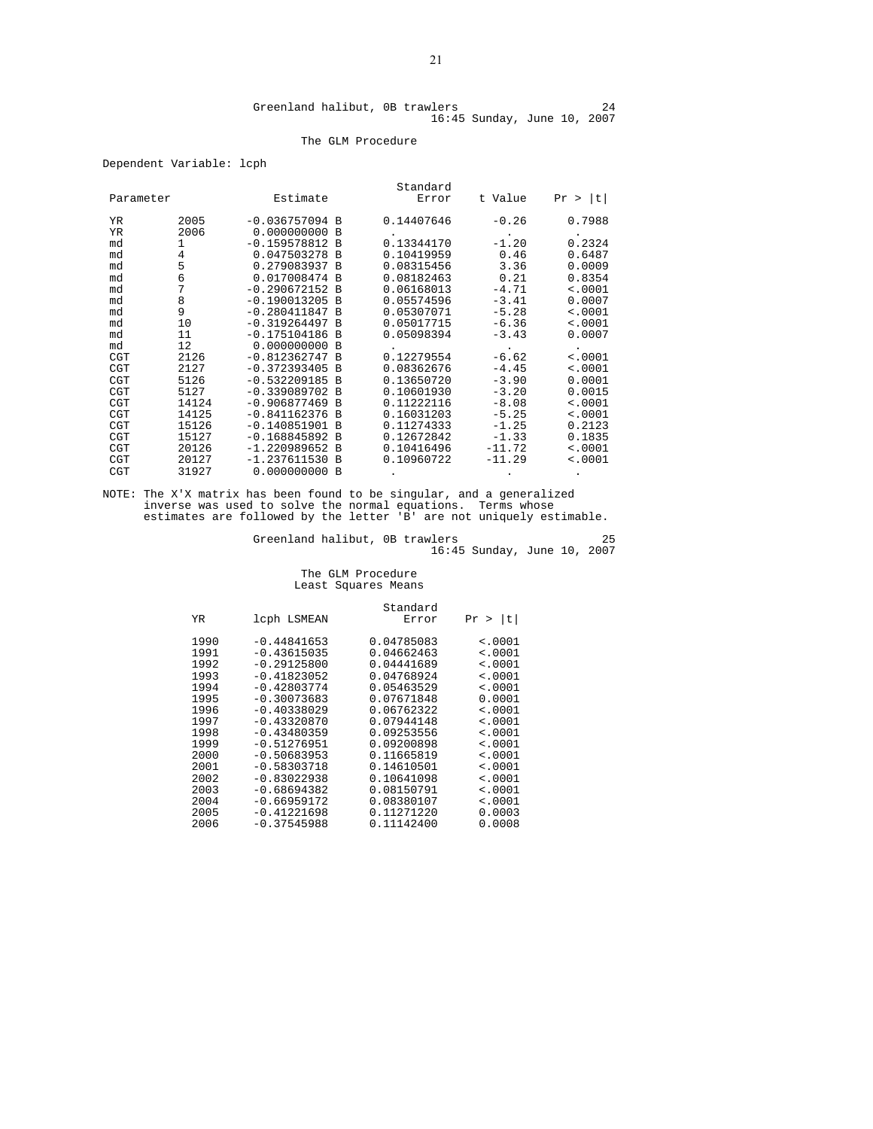#### The GLM Procedure

Dependent Variable: lcph

|            |       |                  |          | Standard   |          |             |
|------------|-------|------------------|----------|------------|----------|-------------|
| Parameter  |       | Estimate         |          | Error      | t Value  | Pr >  t     |
| YR.        | 2005  | $-0.036757094$ B |          | 0.14407646 | $-0.26$  | 0.7988      |
| YR         | 2006  | 0.000000000      | B        |            |          |             |
| md         | 1     | $-0.159578812 B$ |          | 0.13344170 | $-1.20$  | 0.2324      |
| md         | 4     | 0.047503278      | <b>B</b> | 0.10419959 | 0.46     | 0.6487      |
| md         | 5     | 0.279083937 B    |          | 0.08315456 | 3.36     | 0.0009      |
| md         | 6     | 0.017008474 B    |          | 0.08182463 | 0.21     | 0.8354      |
| md         | 7     | $-0.290672152 B$ |          | 0.06168013 | $-4.71$  | < .0001     |
| md         | 8     | $-0.190013205$ B |          | 0.05574596 | $-3.41$  | 0.0007      |
| md         | 9     | $-0.280411847 B$ |          | 0.05307071 | $-5.28$  | < .0001     |
| md         | 10    | $-0.319264497 B$ |          | 0.05017715 | $-6.36$  | < .0001     |
| md         | 11    | $-0.175104186$   | B        | 0.05098394 | $-3.43$  | 0.0007      |
| md         | 12    | 0.000000000      | B        |            |          |             |
| CGT        | 2126  | $-0.812362747 B$ |          | 0.12279554 | $-6.62$  | < .0001     |
| <b>CGT</b> | 2127  | $-0.372393405 B$ |          | 0.08362676 | $-4.45$  | < .0001     |
| <b>CGT</b> | 5126  | $-0.532209185$   | B        | 0.13650720 | $-3.90$  | 0.0001      |
| <b>CGT</b> | 5127  | $-0.339089702$   | <b>B</b> | 0.10601930 | $-3.20$  | 0.0015      |
| <b>CGT</b> | 14124 | $-0.906877469$ B |          | 0.11222116 | $-8.08$  | < .0001     |
| CGT        | 14125 | $-0.841162376$   | <b>B</b> | 0.16031203 | $-5.25$  | $\sim 0001$ |
| <b>CGT</b> | 15126 | $-0.140851901$   | B        | 0.11274333 | $-1.25$  | 0.2123      |
| <b>CGT</b> | 15127 | $-0.168845892$   | B        | 0.12672842 | $-1.33$  | 0.1835      |
| <b>CGT</b> | 20126 | $-1.220989652$   | <b>B</b> | 0.10416496 | $-11.72$ | < .0001     |
| <b>CGT</b> | 20127 | $-1.237611530$   | B        | 0.10960722 | $-11.29$ | < .0001     |
| <b>CGT</b> | 31927 | 0.000000000      | B        |            |          |             |

NOTE: The X'X matrix has been found to be singular, and a generalized inverse was used to solve the normal equations. Terms whose estimates are followed by the letter 'B' are not uniquely estimable.

Greenland halibut, 0B trawlers 25 16:45 Sunday, June 10, 2007

# The GLM Procedure Least Squares Means

| ΥR                                                                                                           | lcph LSMEAN                                                                                                                                                                                                                                                 | Standard<br>Error                                                                                                                                                                                              | Pr >  t                                                                                                                                                                       |
|--------------------------------------------------------------------------------------------------------------|-------------------------------------------------------------------------------------------------------------------------------------------------------------------------------------------------------------------------------------------------------------|----------------------------------------------------------------------------------------------------------------------------------------------------------------------------------------------------------------|-------------------------------------------------------------------------------------------------------------------------------------------------------------------------------|
| 1990<br>1991<br>1992<br>1993<br>1994<br>1995<br>1996<br>1997<br>1998<br>1999<br>2000<br>2001<br>2002<br>2003 | $-0.44841653$<br>$-0.43615035$<br>$-0.29125800$<br>$-0.41823052$<br>$-0.42803774$<br>$-0.30073683$<br>$-0.40338029$<br>$-0.43320870$<br>$-0.43480359$<br>$-0.51276951$<br>$-0.50683953$<br>$-0.58303718$<br>$-0.83022938$<br>$-0.68694382$<br>$-0.66959172$ | 0.04785083<br>0.04662463<br>0.04441689<br>0.04768924<br>0.05463529<br>0.07671848<br>0.06762322<br>0.07944148<br>0.09253556<br>0.09200898<br>0.11665819<br>0.14610501<br>0.10641098<br>0.08150791<br>0.08380107 | $\leq 0001$<br>$\leq 0001$<br>$\leq 0001$<br>< .0001<br>< .0001<br>0.0001<br>$\leq 0001$<br>< .0001<br>< .0001<br>$\leq 0001$<br>< .0001<br>< 0.001<br>$\leq 0001$<br>< .0001 |
| 2004<br>2005<br>2006                                                                                         | $-0.41221698$<br>$-0.37545988$                                                                                                                                                                                                                              | 0.11271220<br>0.11142400                                                                                                                                                                                       | < .0001<br>0.0003<br>0.0008                                                                                                                                                   |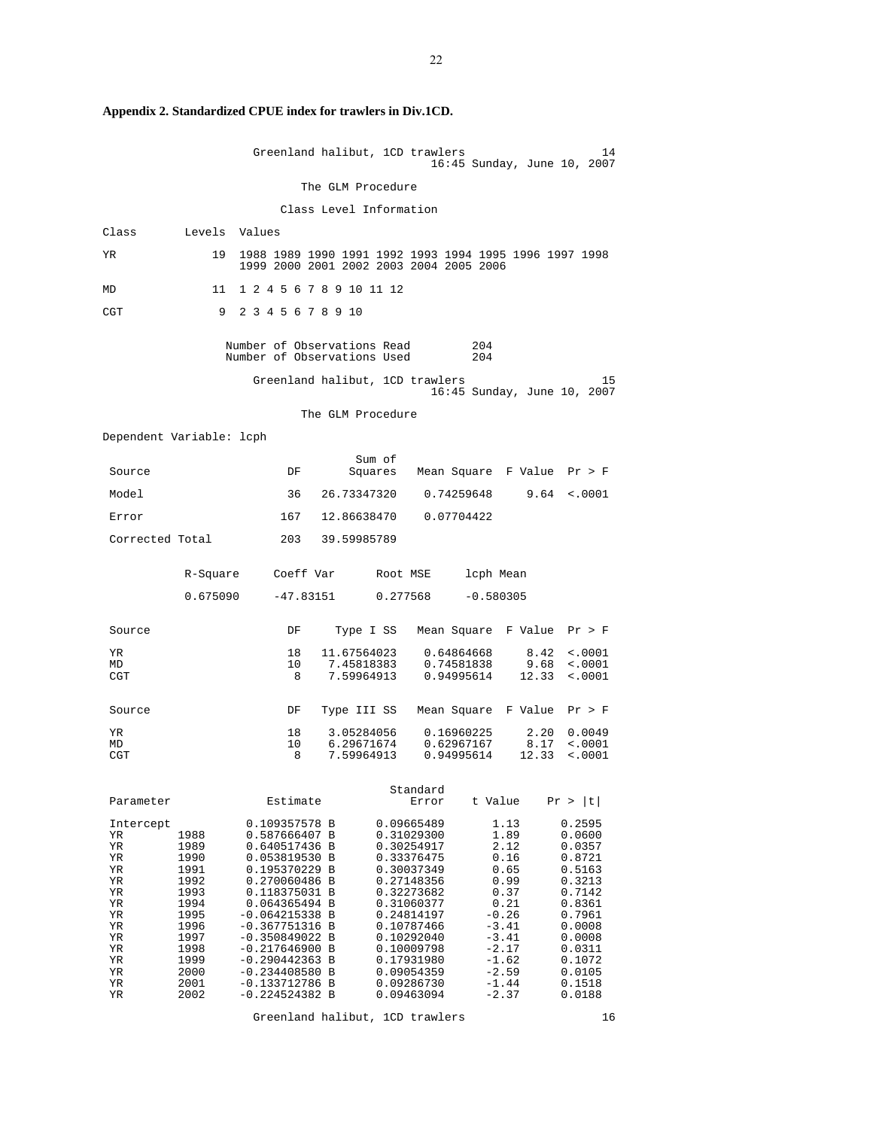|                                                                                                     |                                                                                                                      | Greenland halibut, 1CD trawlers<br>14<br>16:45 Sunday, June 10, 2007                                                                                                                                                                                                                                                                                                                                                                                                                                                                                                                                                                                                                                                                                                                                                                                       |
|-----------------------------------------------------------------------------------------------------|----------------------------------------------------------------------------------------------------------------------|------------------------------------------------------------------------------------------------------------------------------------------------------------------------------------------------------------------------------------------------------------------------------------------------------------------------------------------------------------------------------------------------------------------------------------------------------------------------------------------------------------------------------------------------------------------------------------------------------------------------------------------------------------------------------------------------------------------------------------------------------------------------------------------------------------------------------------------------------------|
|                                                                                                     |                                                                                                                      | The GLM Procedure                                                                                                                                                                                                                                                                                                                                                                                                                                                                                                                                                                                                                                                                                                                                                                                                                                          |
|                                                                                                     |                                                                                                                      | Class Level Information                                                                                                                                                                                                                                                                                                                                                                                                                                                                                                                                                                                                                                                                                                                                                                                                                                    |
| Class                                                                                               |                                                                                                                      | Levels Values                                                                                                                                                                                                                                                                                                                                                                                                                                                                                                                                                                                                                                                                                                                                                                                                                                              |
| ΥR                                                                                                  | 19                                                                                                                   | 1988 1989 1990 1991 1992 1993 1994 1995 1996 1997 1998<br>1999 2000 2001 2002 2003 2004 2005 2006                                                                                                                                                                                                                                                                                                                                                                                                                                                                                                                                                                                                                                                                                                                                                          |
| MD                                                                                                  | 11                                                                                                                   | 1 2 4 5 6 7 8 9 10 11 12                                                                                                                                                                                                                                                                                                                                                                                                                                                                                                                                                                                                                                                                                                                                                                                                                                   |
| CGT                                                                                                 | 9                                                                                                                    | 2 3 4 5 6 7 8 9 10                                                                                                                                                                                                                                                                                                                                                                                                                                                                                                                                                                                                                                                                                                                                                                                                                                         |
|                                                                                                     |                                                                                                                      | Number of Observations Read<br>204<br>Number of Observations Used<br>204                                                                                                                                                                                                                                                                                                                                                                                                                                                                                                                                                                                                                                                                                                                                                                                   |
|                                                                                                     |                                                                                                                      | Greenland halibut, 1CD trawlers<br>15<br>16:45 Sunday, June 10, 2007                                                                                                                                                                                                                                                                                                                                                                                                                                                                                                                                                                                                                                                                                                                                                                                       |
|                                                                                                     |                                                                                                                      | The GLM Procedure                                                                                                                                                                                                                                                                                                                                                                                                                                                                                                                                                                                                                                                                                                                                                                                                                                          |
| Dependent Variable: lcph                                                                            |                                                                                                                      |                                                                                                                                                                                                                                                                                                                                                                                                                                                                                                                                                                                                                                                                                                                                                                                                                                                            |
| Source                                                                                              |                                                                                                                      | Sum of<br>Mean Square F Value Pr > F<br>DF<br>Squares                                                                                                                                                                                                                                                                                                                                                                                                                                                                                                                                                                                                                                                                                                                                                                                                      |
| Model                                                                                               |                                                                                                                      | 26.73347320<br>0.74259648<br>9.64<br>36<br>$\sim 0001$                                                                                                                                                                                                                                                                                                                                                                                                                                                                                                                                                                                                                                                                                                                                                                                                     |
| Error                                                                                               |                                                                                                                      | 12.86638470<br>167<br>0.07704422                                                                                                                                                                                                                                                                                                                                                                                                                                                                                                                                                                                                                                                                                                                                                                                                                           |
| Corrected Total                                                                                     |                                                                                                                      | 203<br>39.59985789                                                                                                                                                                                                                                                                                                                                                                                                                                                                                                                                                                                                                                                                                                                                                                                                                                         |
|                                                                                                     | R-Square                                                                                                             | Coeff Var<br>lcph Mean<br>Root MSE                                                                                                                                                                                                                                                                                                                                                                                                                                                                                                                                                                                                                                                                                                                                                                                                                         |
|                                                                                                     | 0.675090                                                                                                             | 0.277568<br>$-0.580305$<br>$-47.83151$                                                                                                                                                                                                                                                                                                                                                                                                                                                                                                                                                                                                                                                                                                                                                                                                                     |
| Source                                                                                              |                                                                                                                      | Mean Square F Value<br>DF<br>Type I SS<br>Pr > F                                                                                                                                                                                                                                                                                                                                                                                                                                                                                                                                                                                                                                                                                                                                                                                                           |
| YR.<br>MD<br>CGT                                                                                    |                                                                                                                      | 18<br>11.67564023<br>0.64864668<br>8.42<br>< .0001<br>10<br>7.45818383<br>0.74581838<br>9.68<br>< .0001<br>7.59964913<br>12.33<br>8<br>0.94995614<br>< .0001                                                                                                                                                                                                                                                                                                                                                                                                                                                                                                                                                                                                                                                                                               |
| Source                                                                                              |                                                                                                                      | Mean Square F Value<br>DF<br>Type III SS<br>Pr > F                                                                                                                                                                                                                                                                                                                                                                                                                                                                                                                                                                                                                                                                                                                                                                                                         |
| YR.<br>MD<br>CGT                                                                                    |                                                                                                                      | 18<br>3.05284056<br>0.16960225<br>2.20<br>0.0049<br>6.29671674<br>0.62967167<br>8.17<br>10<br>< .0001<br>7.59964913<br>0.94995614<br>12.33<br>8<br>$\sim 0001$                                                                                                                                                                                                                                                                                                                                                                                                                                                                                                                                                                                                                                                                                             |
| Parameter                                                                                           |                                                                                                                      | Standard<br>t Value<br>Pr >  t <br>Estimate<br>Error                                                                                                                                                                                                                                                                                                                                                                                                                                                                                                                                                                                                                                                                                                                                                                                                       |
| Intercept<br>ΥR<br>ΥR<br>ΥR<br>YR<br>ΥR<br>YR<br>ΥR<br>YR<br>YR<br>ΥR<br>YR<br>YR<br>ΥR<br>YR<br>YR | 1988<br>1989<br>1990<br>1991<br>1992<br>1993<br>1994<br>1995<br>1996<br>1997<br>1998<br>1999<br>2000<br>2001<br>2002 | 0.09665489<br>1.13<br>0.109357578 B<br>0.2595<br>1.89<br>0.587666407 B<br>0.31029300<br>0.0600<br>0.640517436 B<br>0.30254917<br>2.12<br>0.0357<br>0.16<br>0.053819530 B<br>0.33376475<br>0.8721<br>0.65<br>0.195370229 B<br>0.30037349<br>0.5163<br>0.270060486 B<br>0.27148356<br>0.99<br>0.3213<br>0.37<br>0.118375031 B<br>0.32273682<br>0.7142<br>0.21<br>0.064365494 B<br>0.31060377<br>0.8361<br>$-0.26$<br>-0.064215338 B<br>0.24814197<br>0.7961<br>$-3.41$<br>$-0.367751316$ B<br>0.10787466<br>0.0008<br>$-3.41$<br>$-0.350849022 B$<br>0.10292040<br>0.0008<br>$-2.17$<br>$-0.217646900 B$<br>0.10009798<br>0.0311<br>$-0.290442363 B$<br>0.17931980<br>$-1.62$<br>0.1072<br>$-2.59$<br>0.09054359<br>$-0.234408580 B$<br>0.0105<br>$-1.44$<br>0.1518<br>$-0.133712786$ B<br>0.09286730<br>$-0.224524382 B$<br>0.09463094<br>$-2.37$<br>0.0188 |

**Appendix 2. Standardized CPUE index for trawlers in Div.1CD.** 

Greenland halibut, 1CD trawlers 16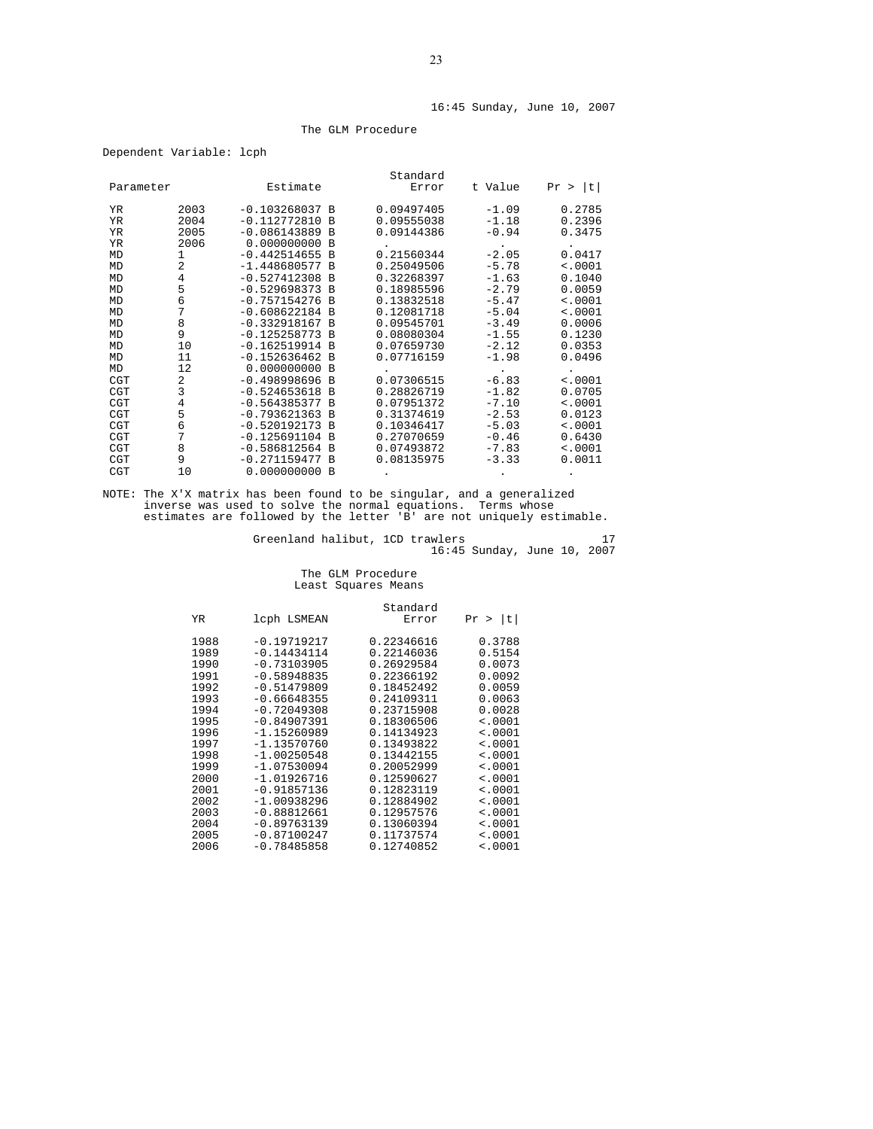#### The GLM Procedure

| Dependent Variable: lcph |  |  |  |
|--------------------------|--|--|--|
|--------------------------|--|--|--|

| Parameter  |                | Estimate         |          | Standard<br>Error | t Value | - It I<br>Pr > |
|------------|----------------|------------------|----------|-------------------|---------|----------------|
| YR         | 2003           | $-0.103268037 B$ |          | 0.09497405        | $-1.09$ | 0.2785         |
| YR.        | 2004           | $-0.112772810$   | B        | 0.09555038        | $-1.18$ | 0.2396         |
| <b>YR</b>  | 2005           | $-0.086143889 B$ |          | 0.09144386        | $-0.94$ | 0.3475         |
| YR         | 2006           | $0.000000000$ B  |          |                   |         |                |
| MD         | 1              | $-0.442514655 B$ |          | 0.21560344        | $-2.05$ | 0.0417         |
| MD         | 2              | $-1.448680577 B$ |          | 0.25049506        | $-5.78$ | < .0001        |
| MD         | 4              | $-0.527412308$   | <b>B</b> | 0.32268397        | $-1.63$ | 0.1040         |
| MD         | 5              | $-0.529698373 B$ |          | 0.18985596        | $-2.79$ | 0.0059         |
| MD         | 6              | $-0.757154276 B$ |          | 0.13832518        | $-5.47$ | < .0001        |
| MD         | 7              | $-0.608622184 B$ |          | 0.12081718        | $-5.04$ | < .0001        |
| MD         | 8              | $-0.332918167 B$ |          | 0.09545701        | $-3.49$ | 0.0006         |
| MD         | 9              | $-0.125258773 B$ |          | 0.08080304        | $-1.55$ | 0.1230         |
| MD         | 10             | $-0.162519914 B$ |          | 0.07659730        | $-2.12$ | 0.0353         |
| MD         | 11             | $-0.152636462 B$ |          | 0.07716159        | $-1.98$ | 0.0496         |
| MD         | 12             | $0.000000000$ B  |          |                   |         |                |
| <b>CGT</b> | $\overline{a}$ | $-0.498998696 B$ |          | 0.07306515        | $-6.83$ | < .0001        |
| <b>CGT</b> | 3              | $-0.524653618 B$ |          | 0.28826719        | $-1.82$ | 0.0705         |
| <b>CGT</b> | 4              | $-0.564385377 B$ |          | 0.07951372        | $-7.10$ | < .0001        |
| <b>CGT</b> | 5              | $-0.793621363 B$ |          | 0.31374619        | $-2.53$ | 0.0123         |
| <b>CGT</b> | 6              | $-0.520192173 B$ |          | 0.10346417        | $-5.03$ | < .0001        |
| <b>CGT</b> | 7              | $-0.125691104 B$ |          | 0.27070659        | $-0.46$ | 0.6430         |
| <b>CGT</b> | 8              | $-0.586812564 B$ |          | 0.07493872        | $-7.83$ | < .0001        |
| <b>CGT</b> | 9              | $-0.271159477 B$ |          | 0.08135975        | $-3.33$ | 0.0011         |
| <b>CGT</b> | 10             | 0.000000000B     |          |                   |         |                |

NOTE: The X'X matrix has been found to be singular, and a generalized inverse was used to solve the normal equations. Terms whose estimates are followed by the letter 'B' are not uniquely estimable.

Greenland halibut, 1CD trawlers 17 16:45 Sunday, June 10, 2007

# The GLM Procedure Least Squares Means

| YR                                                                                                                                           | lcph LSMEAN                                                                                                                                                                                                                                                                                                    | Standard<br>Error                                                                                                                                                                                                                                        | t <br>Pr >                                                                                                                                                                                          |
|----------------------------------------------------------------------------------------------------------------------------------------------|----------------------------------------------------------------------------------------------------------------------------------------------------------------------------------------------------------------------------------------------------------------------------------------------------------------|----------------------------------------------------------------------------------------------------------------------------------------------------------------------------------------------------------------------------------------------------------|-----------------------------------------------------------------------------------------------------------------------------------------------------------------------------------------------------|
| 1988<br>1989<br>1990<br>1991<br>1992<br>1993<br>1994<br>1995<br>1996<br>1997<br>1998<br>1999<br>2000<br>2001<br>2002<br>2003<br>2004<br>2005 | $-0.19719217$<br>$-0.14434114$<br>$-0.73103905$<br>$-0.58948835$<br>$-0.51479809$<br>$-0.66648355$<br>$-0.72049308$<br>$-0.84907391$<br>$-1.15260989$<br>$-1.13570760$<br>$-1.00250548$<br>$-1.07530094$<br>$-1.01926716$<br>$-0.91857136$<br>$-1.00938296$<br>$-0.88812661$<br>$-0.89763139$<br>$-0.87100247$ | 0.22346616<br>0.22146036<br>0.26929584<br>0.22366192<br>0.18452492<br>0.24109311<br>0.23715908<br>0.18306506<br>0.14134923<br>0.13493822<br>0.13442155<br>0.20052999<br>0.12590627<br>0.12823119<br>0.12884902<br>0.12957576<br>0.13060394<br>0.11737574 | 0.3788<br>0.5154<br>0.0073<br>0.0092<br>0.0059<br>0.0063<br>0.0028<br>< .0001<br>$\leq 0001$<br>< .0001<br>< .0001<br>< .0001<br>< .0001<br>< .0001<br>< .0001<br>< .0001<br>< .0001<br>$\leq 0001$ |
| 2006                                                                                                                                         | $-0.78485858$                                                                                                                                                                                                                                                                                                  | 0.12740852                                                                                                                                                                                                                                               | < .0001                                                                                                                                                                                             |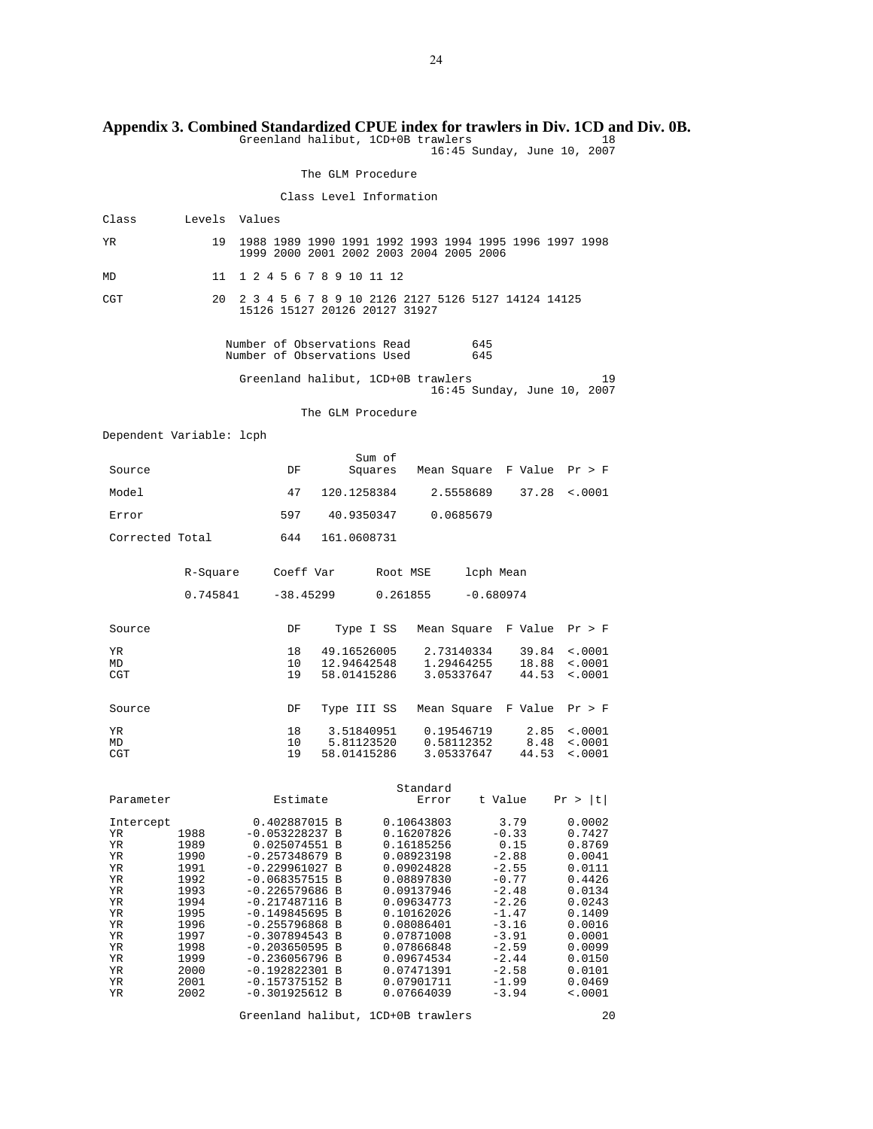# **Appendix 3. Combined Standardized CPUE index for trawlers in Div. 1CD and Div. 0B.**

Greenland halibut, 1CD+0B trawlers 18 16:45 Sunday, June 10, 2007

The GLM Procedure

# Class Level Information

| Class                    | Levels       | Values                                                                                                                      |
|--------------------------|--------------|-----------------------------------------------------------------------------------------------------------------------------|
| YR                       | 19           | 1988 1989 1990 1991 1992 1993 1994 1995 1996 1997 1998<br>1999 2000 2001 2002 2003 2004 2005 2006                           |
| MD                       | 11           | 1 2 4 5 6 7 8 9 10 11 12                                                                                                    |
| CGT                      | 20           | 2 3 4 5 6 7 8 9 10 2126 2127 5126 5127 14124 14125<br>15126 15127 20126 20127 31927                                         |
|                          |              | Number of Observations Read<br>645<br>Number of Observations Used<br>645                                                    |
|                          |              | Greenland halibut, 1CD+0B trawlers<br>19<br>16:45 Sunday, June 10, 2007                                                     |
|                          |              | The GLM Procedure                                                                                                           |
| Dependent Variable: lcph |              |                                                                                                                             |
| Source                   |              | Sum of<br>Mean Square F Value Pr > F<br>DF<br>Squares                                                                       |
| Model                    |              | 47<br>120.1258384<br>37.28<br>2.5558689<br>< .0001                                                                          |
| Error                    |              | 597<br>40.9350347<br>0.0685679                                                                                              |
| Corrected Total          |              | 644<br>161.0608731                                                                                                          |
|                          | R-Square     | Coeff Var<br>lcph Mean<br>Root MSE                                                                                          |
|                          | 0.745841     | $-38.45299$<br>0.261855<br>$-0.680974$                                                                                      |
| Source                   |              | DF<br>Mean Square F Value Pr > F<br>Type I SS                                                                               |
| ΥR                       |              | 18<br>49.16526005<br>2.73140334<br>39.84<br>< .0001                                                                         |
| MD<br>CGT                |              | 10 <sup>°</sup><br>12.94642548<br>1.29464255<br>18.88<br>$\sim 0001$<br>19<br>58.01415286<br>3.05337647<br>44.53<br>< .0001 |
|                          |              |                                                                                                                             |
| Source                   |              | Mean Square F Value<br>DF<br>Type III SS<br>Pr > F                                                                          |
| YR<br>MD                 |              | 18<br>3.51840951<br>0.19546719<br>2.85<br>$\sim 0001$<br>5.81123520<br>10<br>0.58112352<br>8.48<br>< .0001                  |
| CGT                      |              | 19<br>58.01415286<br>3.05337647<br>44.53<br>$\sim 0001$                                                                     |
| Parameter                |              | Standard<br>Estimate<br>t Value<br>Pr >  t <br>Error                                                                        |
| Intercept                |              | 0.402887015 B<br>0.10643803<br>3.79<br>0.0002                                                                               |
| ΥR<br>ΥR                 | 1988<br>1989 | $-0.053228237 B$<br>$-0.33$<br>0.16207826<br>0.7427<br>0.025074551 B<br>0.16185256<br>0.15<br>0.8769                        |
| ΥR                       | 1990         | $-0.257348679$ B<br>0.08923198<br>$-2.88$<br>0.0041                                                                         |
| ΥR<br>ΥR                 | 1991<br>1992 | $-0.229961027$ B<br>0.09024828<br>$-2.55$<br>0.0111<br>$-0.068357515 B$<br>0.08897830<br>$-0.77$<br>0.4426                  |
| ΥR                       | 1993         | $-0.226579686$ B<br>0.09137946<br>$-2.48$<br>0.0134                                                                         |
| ΥR                       | 1994         | $-2.26$<br>$-0.217487116 B$<br>0.09634773<br>0.0243                                                                         |
| ΥR<br>ΥR                 | 1995<br>1996 | $-0.149845695 B$<br>0.10162026<br>$-1.47$<br>0.1409<br>$-0.255796868$ B<br>0.08086401<br>$-3.16$<br>0.0016                  |
| ΥR                       | 1997         | $-3.91$<br>$-0.307894543 B$<br>0.07871008<br>0.0001                                                                         |
| ΥR                       | 1998         | $-0.203650595 B$<br>0.07866848<br>$-2.59$<br>0.0099                                                                         |
| ΥR<br>ΥR                 | 1999<br>2000 | $-0.236056796$ B<br>0.09674534<br>$-2.44$<br>0.0150<br>$-2.58$<br>$-0.192822301$ B<br>0.07471391<br>0.0101                  |
| ΥR                       | 2001         | $-0.157375152 B$<br>0.07901711<br>$-1.99$<br>0.0469                                                                         |
| ΥR                       | 2002         | $-3.94$<br>$-0.301925612 B$<br>0.07664039<br>< .0001                                                                        |

Greenland halibut, 1CD+0B trawlers 20